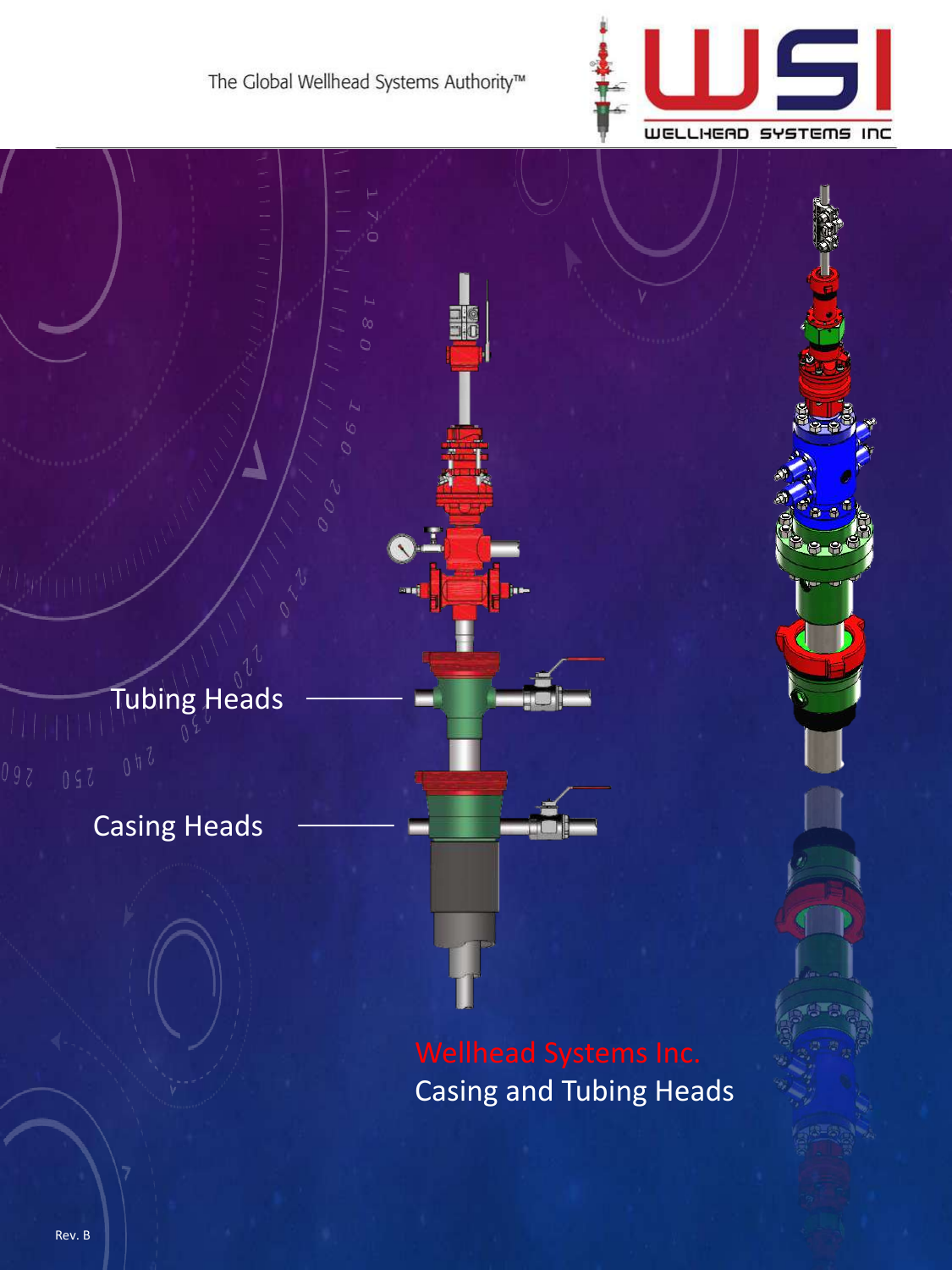



Casing and Tubing Heads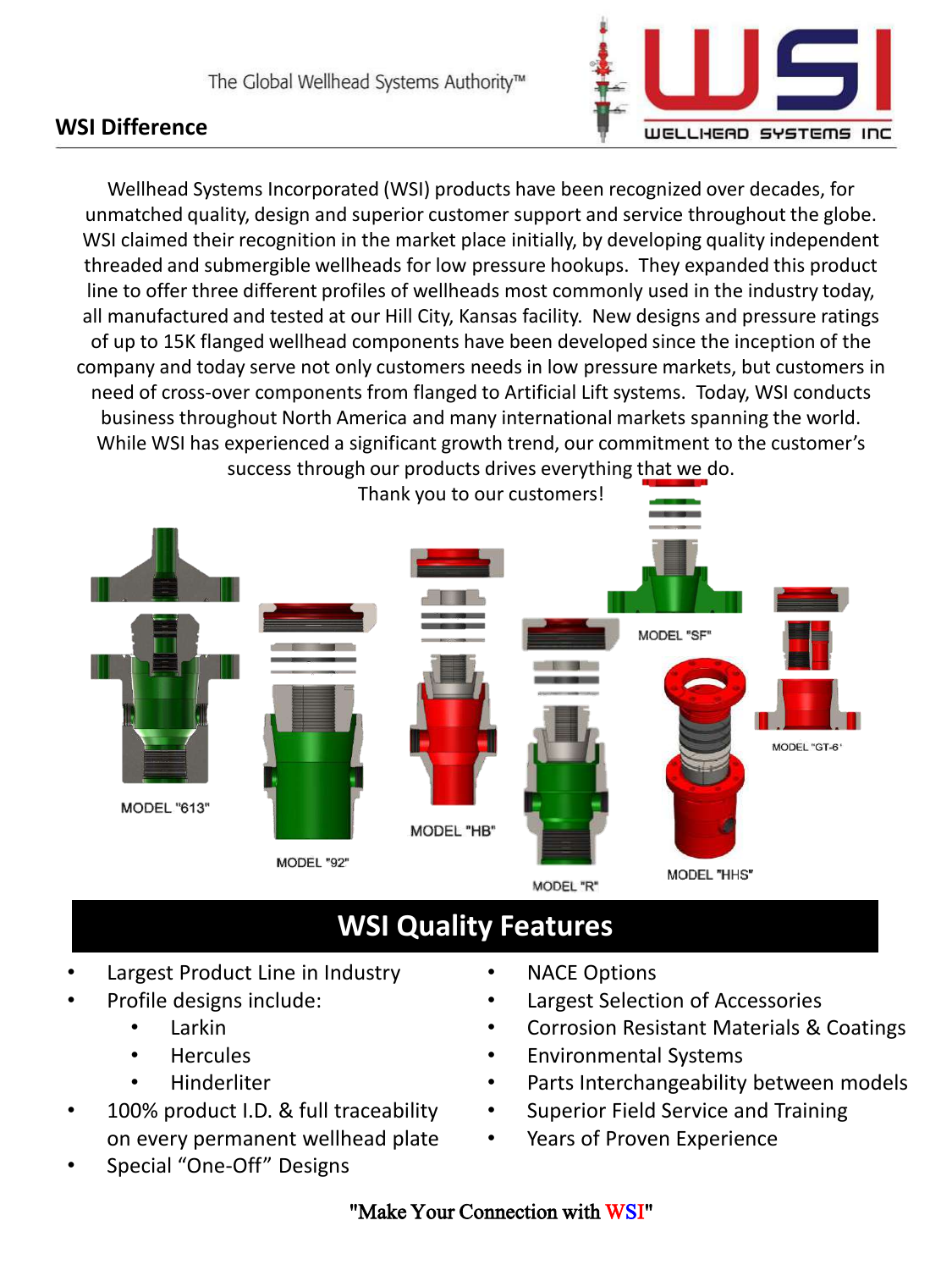### **WSI Difference**



Wellhead Systems Incorporated (WSI) products have been recognized over decades, for unmatched quality, design and superior customer support and service throughout the globe. WSI claimed their recognition in the market place initially, by developing quality independent threaded and submergible wellheads for low pressure hookups. They expanded this product line to offer three different profiles of wellheads most commonly used in the industry today, all manufactured and tested at our Hill City, Kansas facility. New designs and pressure ratings of up to 15K flanged wellhead components have been developed since the inception of the company and today serve not only customers needs in low pressure markets, but customers in need of cross-over components from flanged to Artificial Lift systems. Today, WSI conducts business throughout North America and many international markets spanning the world. While WSI has experienced a significant growth trend, our commitment to the customer's success through our products drives everything that we do.



- Largest Product Line in Industry
- Profile designs include:
	- Larkin
	- Hercules
	- Hinderliter
- 100% product I.D. & full traceability on every permanent wellhead plate
- Special "One-Off" Designs
- **NACE Options**
- Largest Selection of Accessories
- Corrosion Resistant Materials & Coatings
- Environmental Systems
- Parts Interchangeability between models
- Superior Field Service and Training
- Years of Proven Experience

### "Make Your Connection with WSI"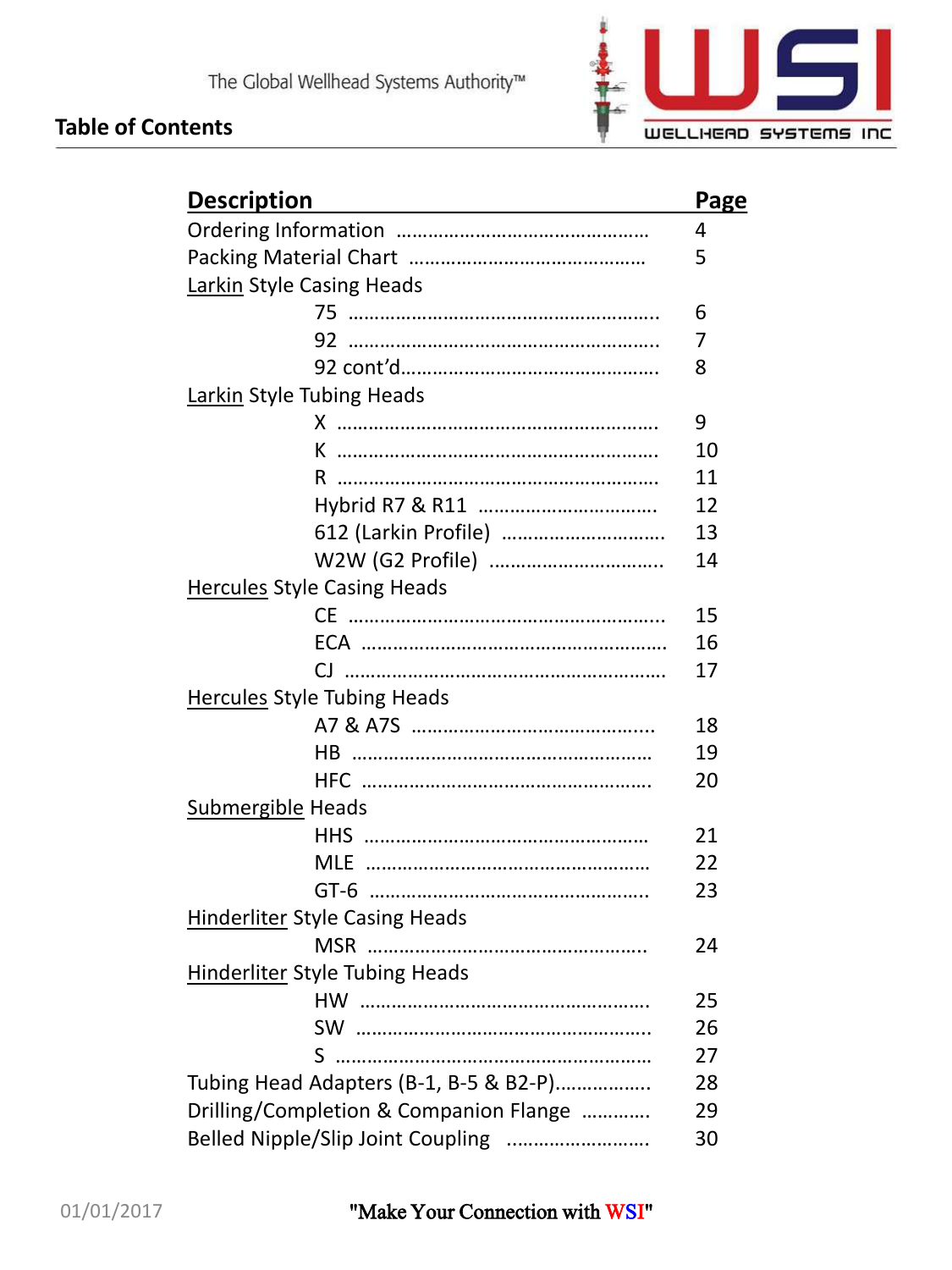



| <b>Description</b>                     | Page |
|----------------------------------------|------|
|                                        | 4    |
|                                        | 5    |
| Larkin Style Casing Heads              |      |
|                                        | 6    |
|                                        | 7    |
|                                        | 8    |
| Larkin Style Tubing Heads              |      |
|                                        | 9    |
| <u>K ………………………………………………………</u>         | 10   |
| R.                                     | 11   |
|                                        | 12   |
|                                        | 13   |
| W2W (G2 Profile)                       | 14   |
| <b>Hercules Style Casing Heads</b>     |      |
|                                        | 15   |
|                                        | 16   |
| CJ                                     | 17   |
| <b>Hercules Style Tubing Heads</b>     |      |
|                                        | 18   |
|                                        | 19   |
|                                        | 20   |
| <b>Submergible Heads</b>               |      |
|                                        | 21   |
|                                        | 22   |
|                                        | 23   |
| <b>Hinderliter Style Casing Heads</b>  |      |
|                                        | 24   |
| <b>Hinderliter Style Tubing Heads</b>  |      |
|                                        | 25   |
|                                        | 26   |
|                                        | 27   |
| Tubing Head Adapters (B-1, B-5 & B2-P) | 28   |
| Drilling/Completion & Companion Flange | 29   |
| Belled Nipple/Slip Joint Coupling      | 30   |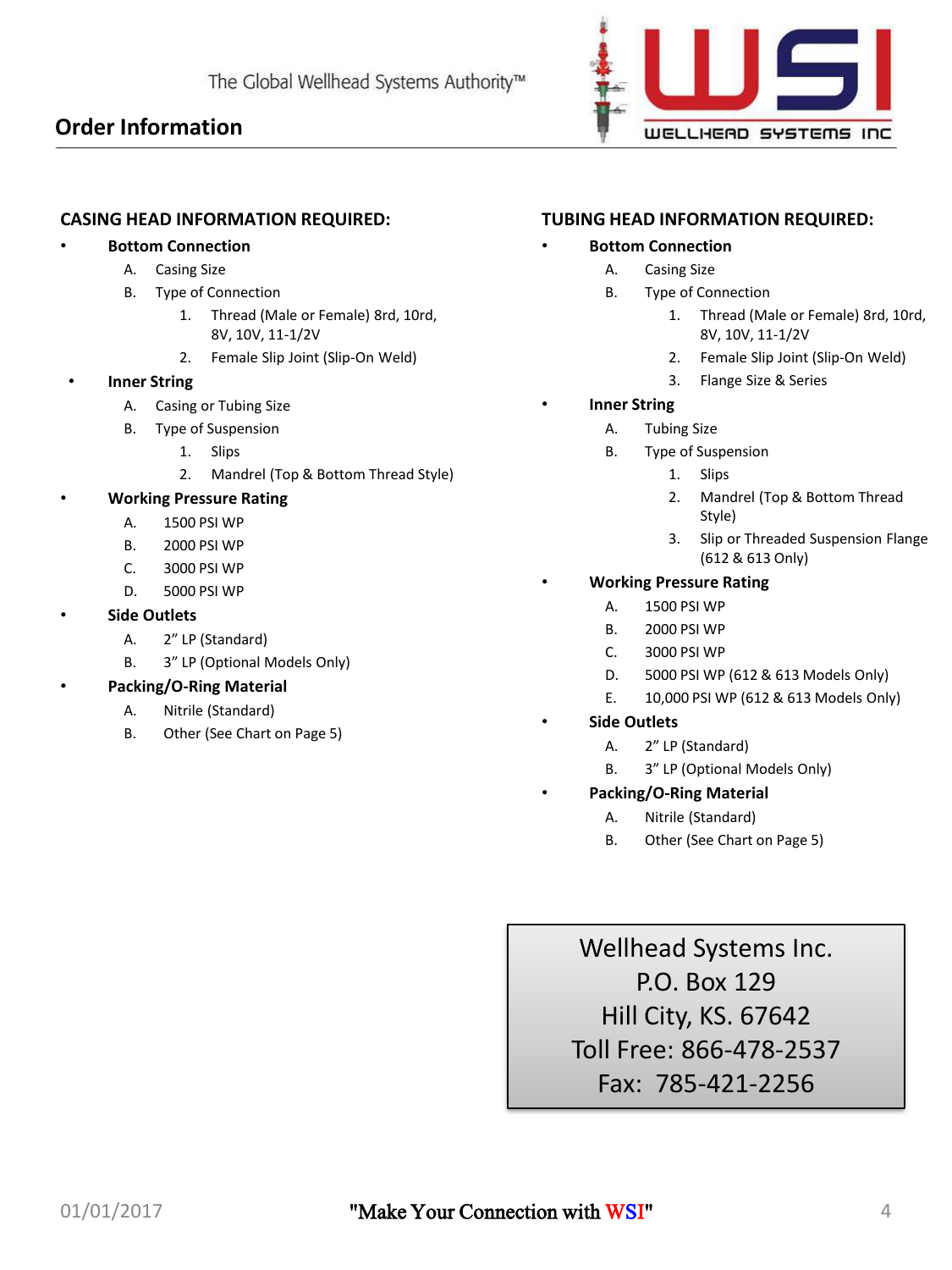### **Order Information**



### **CASING HEAD INFORMATION REQUIRED:**

### • **Bottom Connection**

- A. Casing Size
- B. Type of Connection
	- 1. Thread (Male or Female) 8rd, 10rd, 8V, 10V, 11-1/2V
	- 2. Female Slip Joint (Slip-On Weld)

### **Inner String**

- A. Casing or Tubing Size
- B. Type of Suspension
	- 1. Slips
	- 2. Mandrel (Top & Bottom Thread Style)

### • **Working Pressure Rating**

- A. 1500 PSI WP
- B. 2000 PSI WP
- C. 3000 PSI WP
- D. 5000 PSI WP

### • **Side Outlets**

- A. 2" LP (Standard)
- B. 3" LP (Optional Models Only)

### • **Packing/O-Ring Material**

- A. Nitrile (Standard)
	- B. Other (See Chart on Page 5)

### **TUBING HEAD INFORMATION REQUIRED:**

### • **Bottom Connection**

- A. Casing Size
- B. Type of Connection
	- 1. Thread (Male or Female) 8rd, 10rd, 8V, 10V, 11-1/2V
	- 2. Female Slip Joint (Slip-On Weld)
	- 3. Flange Size & Series
- **Inner String** 
	- A. Tubing Size
	- B. Type of Suspension
		- 1. Slips
		- 2. Mandrel (Top & Bottom Thread Style)
		- 3. Slip or Threaded Suspension Flange (612 & 613 Only)

### • **Working Pressure Rating**

- A. 1500 PSI WP
- B. 2000 PSI WP
- C. 3000 PSI WP
- D. 5000 PSI WP (612 & 613 Models Only)
- E. 10,000 PSI WP (612 & 613 Models Only)
- **Side Outlets**
	- A. 2" LP (Standard)
	- B. 3" LP (Optional Models Only)
	- **Packing/O-Ring Material**
		- A. Nitrile (Standard)
		- B. Other (See Chart on Page 5)

Wellhead Systems Inc. P.O. Box 129 Hill City, KS. 67642 Toll Free: 866-478-2537 Fax: 785-421-2256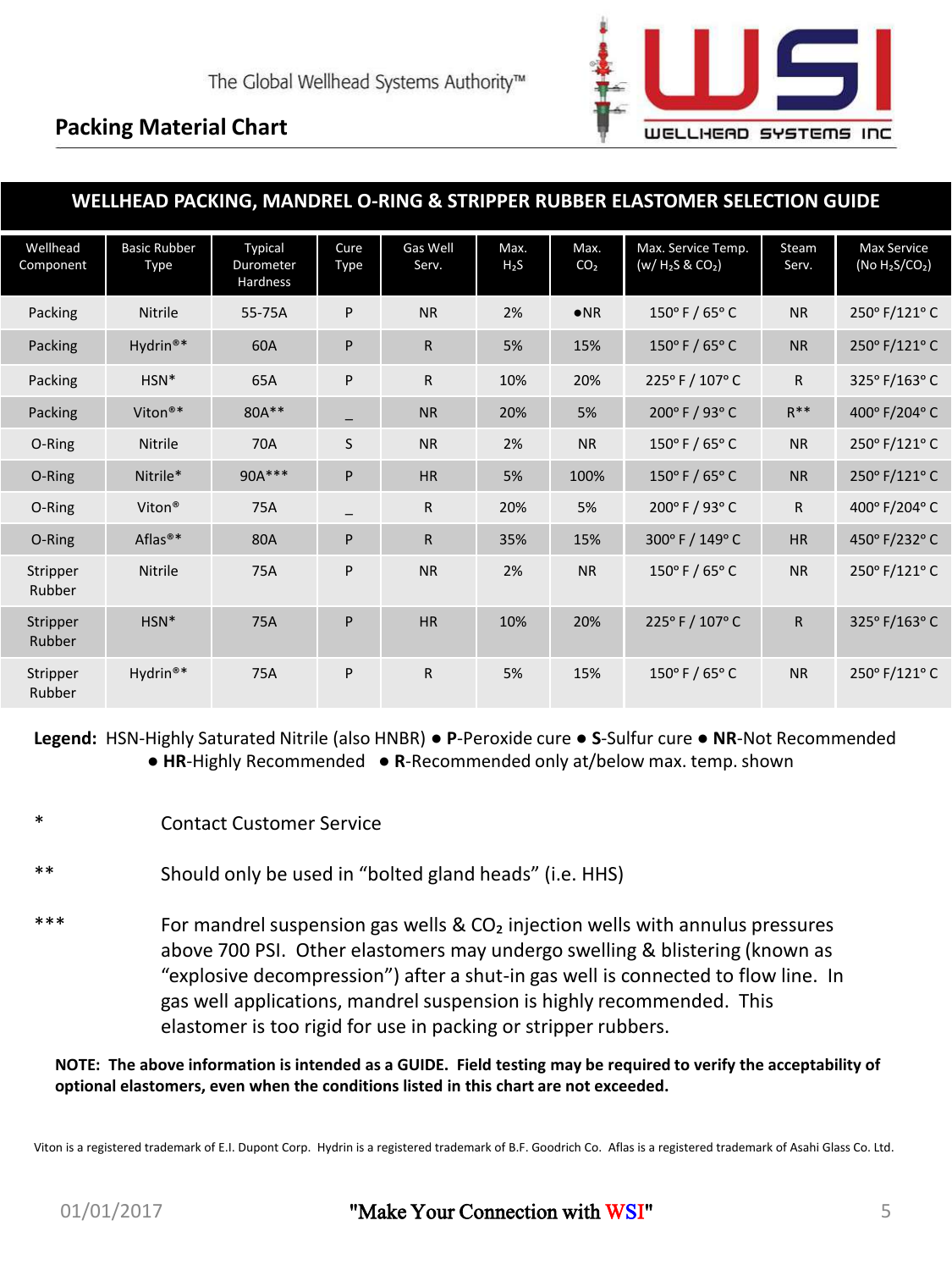

### **Packing Material Chart**

| WELLHEAD PACKING, MANDREL O-RING & STRIPPER RUBBER ELASTOMER SELECTION GUIDE |                                    |                                  |              |                   |                |                         |                                           |                |                                         |
|------------------------------------------------------------------------------|------------------------------------|----------------------------------|--------------|-------------------|----------------|-------------------------|-------------------------------------------|----------------|-----------------------------------------|
| Wellhead<br>Component                                                        | <b>Basic Rubber</b><br><b>Type</b> | Typical<br>Durometer<br>Hardness | Cure<br>Type | Gas Well<br>Serv. | Max.<br>$H_2S$ | Max.<br>CO <sub>2</sub> | Max. Service Temp.<br>$(w / H_2S & CO_2)$ | Steam<br>Serv. | <b>Max Service</b><br>(No $H_2S/CO_2$ ) |
| Packing                                                                      | <b>Nitrile</b>                     | 55-75A                           | P            | <b>NR</b>         | 2%             | $\bullet$ <sub>NR</sub> | $150^{\circ}$ F / 65° C                   | <b>NR</b>      | 250° F/121° C                           |
| Packing                                                                      | Hydrin <sup>®*</sup>               | 60A                              | P            | $\mathsf{R}$      | 5%             | 15%                     | $150^{\circ}$ F / 65° C                   | <b>NR</b>      | 250° F/121° C                           |
| Packing                                                                      | HSN*                               | 65A                              | P            | R                 | 10%            | 20%                     | 225°F / 107°C                             | $\mathsf{R}$   | 325° F/163° C                           |
| Packing                                                                      | Viton®*                            | 80A**                            |              | <b>NR</b>         | 20%            | 5%                      | 200° F / 93° C                            | $R***$         | 400° F/204° C                           |
| O-Ring                                                                       | <b>Nitrile</b>                     | 70A                              | S            | <b>NR</b>         | 2%             | <b>NR</b>               | 150°F/65°C                                | <b>NR</b>      | 250° F/121° C                           |
| O-Ring                                                                       | Nitrile*                           | 90A***                           | P            | <b>HR</b>         | 5%             | 100%                    | 150 $\degree$ F / 65 $\degree$ C          | <b>NR</b>      | 250° F/121° C                           |
| O-Ring                                                                       | Viton <sup>®</sup>                 | 75A                              |              | $\mathsf{R}$      | 20%            | 5%                      | 200° F / 93° C                            | $\mathsf{R}$   | 400° F/204° C                           |
| O-Ring                                                                       | Aflas <sup>®*</sup>                | 80A                              | P            | $\mathsf{R}$      | 35%            | 15%                     | 300° F / 149° C                           | <b>HR</b>      | 450° F/232° C                           |
| Stripper<br>Rubber                                                           | <b>Nitrile</b>                     | 75A                              | P            | <b>NR</b>         | 2%             | <b>NR</b>               | 150°F/65°C                                | <b>NR</b>      | 250° F/121° C                           |
| Stripper<br>Rubber                                                           | HSN*                               | 75A                              | P            | HR                | 10%            | 20%                     | 225°F/107°C                               | $\mathsf{R}$   | 325° F/163° C                           |
| Stripper<br>Rubber                                                           | Hydrin <sup>®*</sup>               | 75A                              | P            | $\mathsf{R}$      | 5%             | 15%                     | $150^{\circ}$ F / 65° C                   | <b>NR</b>      | 250° F/121° C                           |

**Legend:** HSN-Highly Saturated Nitrile (also HNBR) ● **P**-Peroxide cure ● **S**-Sulfur cure ● **NR**-Not Recommended ● HR-Highly Recommended ● R-Recommended only at/below max. temp. shown

- **Contact Customer Service**
- Should only be used in "bolted gland heads" (i.e. HHS)
- For mandrel suspension gas wells &  $CO<sub>2</sub>$  injection wells with annulus pressures above 700 PSI. Other elastomers may undergo swelling & blistering (known as "explosive decompression") after a shut-in gas well is connected to flow line. In gas well applications, mandrel suspension is highly recommended. This elastomer is too rigid for use in packing or stripper rubbers.

**NOTE: The above information is intended as a GUIDE. Field testing may be required to verify the acceptability of optional elastomers, even when the conditions listed in this chart are not exceeded.**

Viton is a registered trademark of E.I. Dupont Corp. Hydrin is a registered trademark of B.F. Goodrich Co. Aflas is a registered trademark of Asahi Glass Co. Ltd.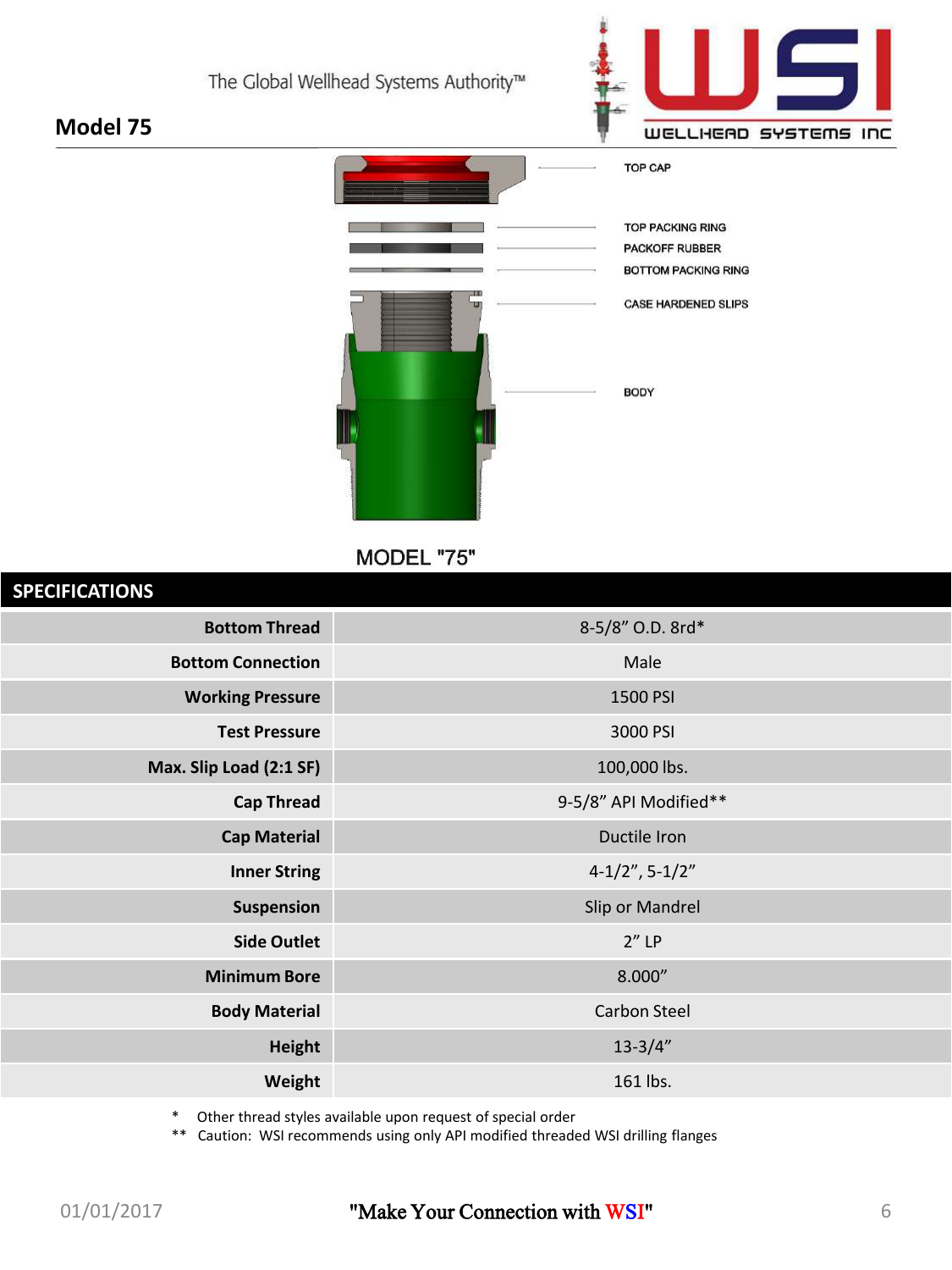



MODEL "75"

| <b>SPECIFICATIONS</b>    |                       |
|--------------------------|-----------------------|
| <b>Bottom Thread</b>     | 8-5/8" O.D. 8rd*      |
| <b>Bottom Connection</b> | Male                  |
| <b>Working Pressure</b>  | 1500 PSI              |
| <b>Test Pressure</b>     | 3000 PSI              |
| Max. Slip Load (2:1 SF)  | 100,000 lbs.          |
| <b>Cap Thread</b>        | 9-5/8" API Modified** |
| <b>Cap Material</b>      | Ductile Iron          |
| <b>Inner String</b>      | $4-1/2$ ", $5-1/2$ "  |
| Suspension               | Slip or Mandrel       |
| <b>Side Outlet</b>       | $2''$ LP              |
| <b>Minimum Bore</b>      | 8.000"                |
| <b>Body Material</b>     | <b>Carbon Steel</b>   |
| <b>Height</b>            | $13 - 3/4"$           |
| Weight                   | 161 lbs.              |
|                          |                       |

\* Other thread styles available upon request of special order

\*\* Caution: WSI recommends using only API modified threaded WSI drilling flanges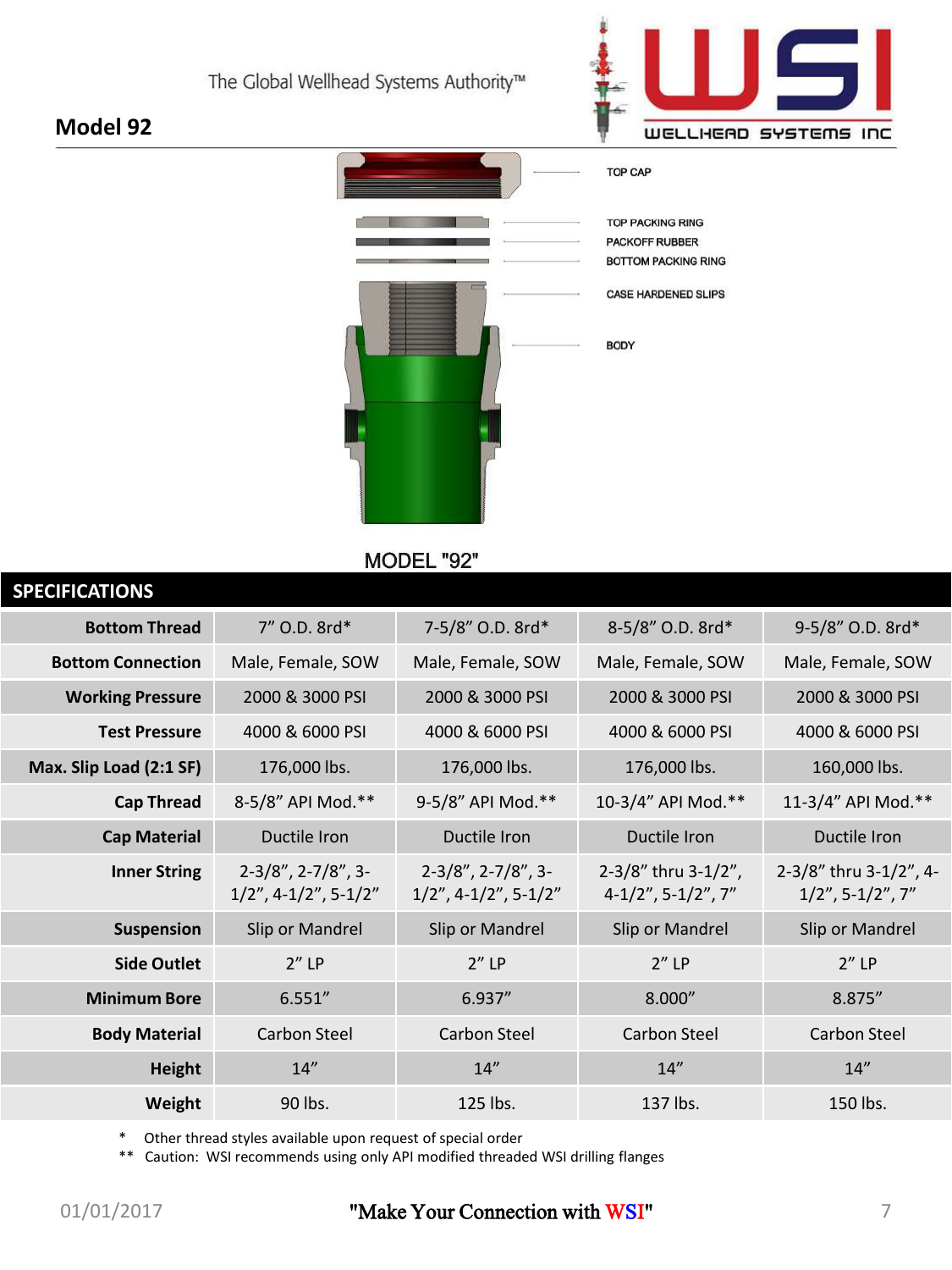

# **TOP CAP TOP PACKING RING** PACKOFF RUBBER **BOTTOM PACKING RING** CASE HARDENED SLIPS **BODY**

MODEL "92"

| <b>SPECIFICATIONS</b>    |                                                       |                                                       |                                              |                                               |
|--------------------------|-------------------------------------------------------|-------------------------------------------------------|----------------------------------------------|-----------------------------------------------|
| <b>Bottom Thread</b>     | 7" O.D. 8rd*                                          | 7-5/8" O.D. 8rd*                                      | 8-5/8" O.D. 8rd*                             | 9-5/8" O.D. 8rd*                              |
| <b>Bottom Connection</b> | Male, Female, SOW                                     | Male, Female, SOW                                     | Male, Female, SOW                            | Male, Female, SOW                             |
| <b>Working Pressure</b>  | 2000 & 3000 PSI                                       | 2000 & 3000 PSI                                       | 2000 & 3000 PSI                              | 2000 & 3000 PSI                               |
| <b>Test Pressure</b>     | 4000 & 6000 PSI                                       | 4000 & 6000 PSI                                       | 4000 & 6000 PSI                              | 4000 & 6000 PSI                               |
| Max. Slip Load (2:1 SF)  | 176,000 lbs.                                          | 176,000 lbs.                                          | 176,000 lbs.                                 | 160,000 lbs.                                  |
| <b>Cap Thread</b>        | 8-5/8" API Mod.**                                     | 9-5/8" API Mod.**                                     | 10-3/4" API Mod.**                           | 11-3/4" API Mod.**                            |
| <b>Cap Material</b>      | Ductile Iron                                          | Ductile Iron                                          | Ductile Iron                                 | Ductile Iron                                  |
| <b>Inner String</b>      | $2-3/8$ ", $2-7/8$ ", $3-$<br>$1/2$ ", 4-1/2", 5-1/2" | $2-3/8$ ", $2-7/8$ ", $3-$<br>$1/2$ ", 4-1/2", 5-1/2" | 2-3/8" thru 3-1/2",<br>$4-1/2$ ", 5-1/2", 7" | 2-3/8" thru 3-1/2", 4-<br>$1/2$ ", 5-1/2", 7" |
| <b>Suspension</b>        | Slip or Mandrel                                       | Slip or Mandrel                                       | Slip or Mandrel                              | Slip or Mandrel                               |
| <b>Side Outlet</b>       | $2''$ LP                                              | $2''$ LP                                              | $2''$ LP                                     | $2''$ LP                                      |
| <b>Minimum Bore</b>      | 6.551''                                               | 6.937''                                               | 8.000"                                       | 8.875"                                        |
| <b>Body Material</b>     | Carbon Steel                                          | Carbon Steel                                          | Carbon Steel                                 | Carbon Steel                                  |
| Height                   | 14"                                                   | 14"                                                   | 14"                                          | 14"                                           |
| Weight                   | 90 lbs.                                               | 125 lbs.                                              | 137 lbs.                                     | 150 lbs.                                      |
|                          |                                                       |                                                       |                                              |                                               |

\* Other thread styles available upon request of special order

\*\* Caution: WSI recommends using only API modified threaded WSI drilling flanges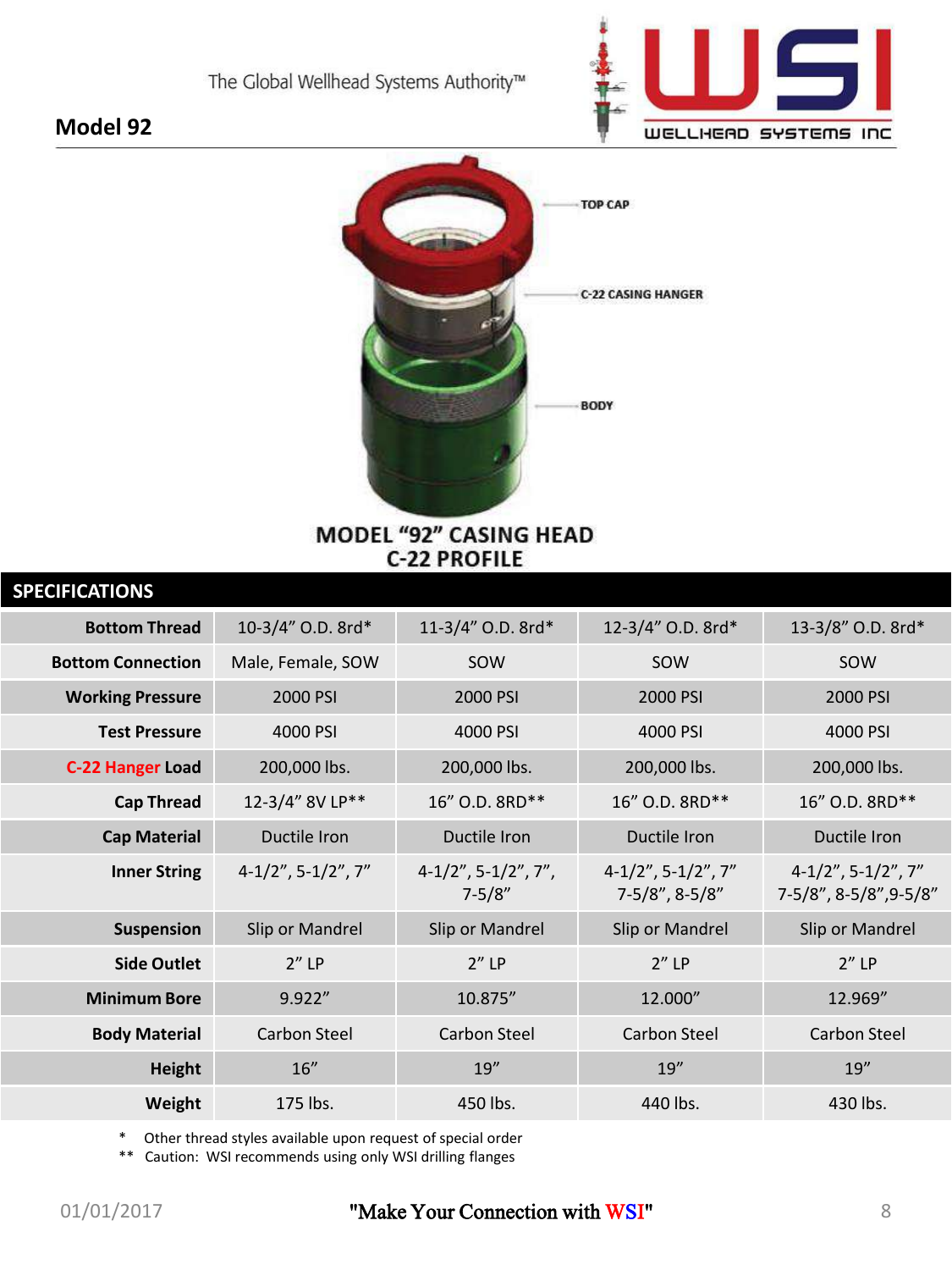

### **Model 92**



### MODEL "92" CASING HEAD **C-22 PROFILE**

| <b>SPECIFICATIONS</b>    |                             |                                      |                                              |                                                 |
|--------------------------|-----------------------------|--------------------------------------|----------------------------------------------|-------------------------------------------------|
| <b>Bottom Thread</b>     | 10-3/4" O.D. 8rd*           | 11-3/4" O.D. 8rd*                    | 12-3/4" O.D. 8rd*                            | 13-3/8" O.D. 8rd*                               |
| <b>Bottom Connection</b> | Male, Female, SOW           | SOW                                  | SOW                                          | SOW                                             |
| <b>Working Pressure</b>  | 2000 PSI                    | 2000 PSI                             | 2000 PSI                                     | 2000 PSI                                        |
| <b>Test Pressure</b>     | 4000 PSI                    | 4000 PSI                             | 4000 PSI                                     | 4000 PSI                                        |
| <b>C-22 Hanger Load</b>  | 200,000 lbs.                | 200,000 lbs.                         | 200,000 lbs.                                 | 200,000 lbs.                                    |
| <b>Cap Thread</b>        | 12-3/4" 8V LP**             | 16" O.D. 8RD**                       | 16" O.D. 8RD**                               | 16" O.D. 8RD**                                  |
| <b>Cap Material</b>      | Ductile Iron                | Ductile Iron                         | Ductile Iron                                 | Ductile Iron                                    |
| <b>Inner String</b>      | $4-1/2$ ", $5-1/2$ ", $7$ " | $4-1/2$ ", 5-1/2", 7",<br>$7 - 5/8"$ | $4-1/2$ ", 5-1/2", 7"<br>$7 - 5/8$ ", 8-5/8" | $4-1/2$ ", 5-1/2", 7"<br>7-5/8", 8-5/8", 9-5/8" |
| <b>Suspension</b>        | Slip or Mandrel             | Slip or Mandrel                      | Slip or Mandrel                              | Slip or Mandrel                                 |
| <b>Side Outlet</b>       | $2''$ LP                    | $2''$ LP                             | $2''$ LP                                     | $2''$ LP                                        |
| <b>Minimum Bore</b>      | 9.922''                     | 10.875"                              | 12.000"                                      | 12.969"                                         |
| <b>Body Material</b>     | <b>Carbon Steel</b>         | Carbon Steel                         | Carbon Steel                                 | Carbon Steel                                    |
| <b>Height</b>            | 16"                         | 19''                                 | 19''                                         | 19''                                            |
| Weight                   | 175 lbs.                    | 450 lbs.                             | 440 lbs.                                     | 430 lbs.                                        |
|                          |                             |                                      |                                              |                                                 |

\* Other thread styles available upon request of special order

\*\* Caution: WSI recommends using only WSI drilling flanges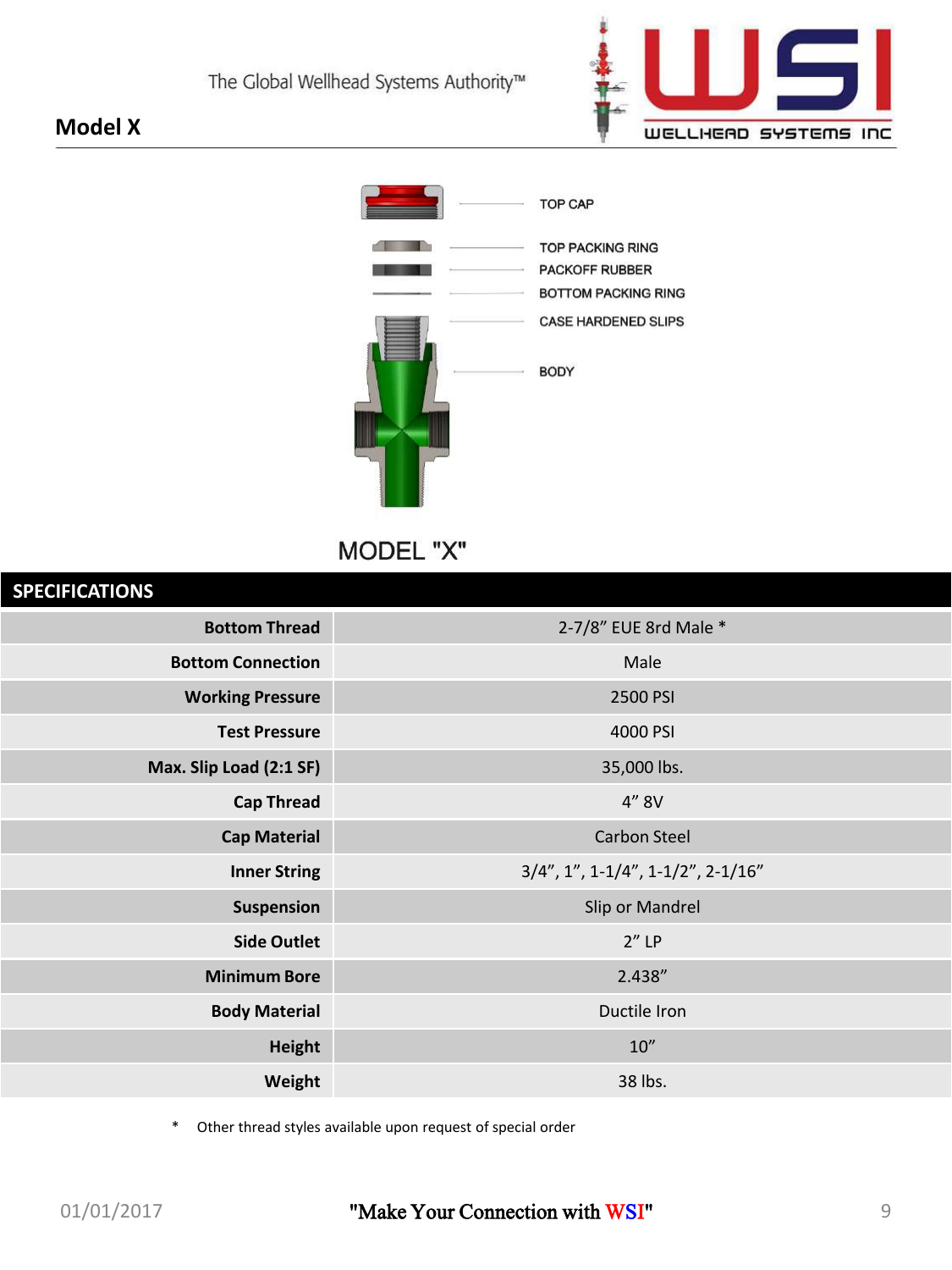



MODEL "X"

| <b>SPECIFICATIONS</b>    |                                                  |
|--------------------------|--------------------------------------------------|
| <b>Bottom Thread</b>     | 2-7/8" EUE 8rd Male *                            |
| <b>Bottom Connection</b> | Male                                             |
| <b>Working Pressure</b>  | 2500 PSI                                         |
| <b>Test Pressure</b>     | 4000 PSI                                         |
| Max. Slip Load (2:1 SF)  | 35,000 lbs.                                      |
| <b>Cap Thread</b>        | 4" 8V                                            |
| <b>Cap Material</b>      | <b>Carbon Steel</b>                              |
| <b>Inner String</b>      | $3/4$ ", $1$ ", $1-1/4$ ", $1-1/2$ ", $2-1/16$ " |
| Suspension               | Slip or Mandrel                                  |
| <b>Side Outlet</b>       | $2''$ LP                                         |
| <b>Minimum Bore</b>      | 2.438"                                           |
| <b>Body Material</b>     | Ductile Iron                                     |
| <b>Height</b>            | $10''$                                           |
| Weight                   | 38 lbs.                                          |
|                          |                                                  |

\* Other thread styles available upon request of special order

**Model X**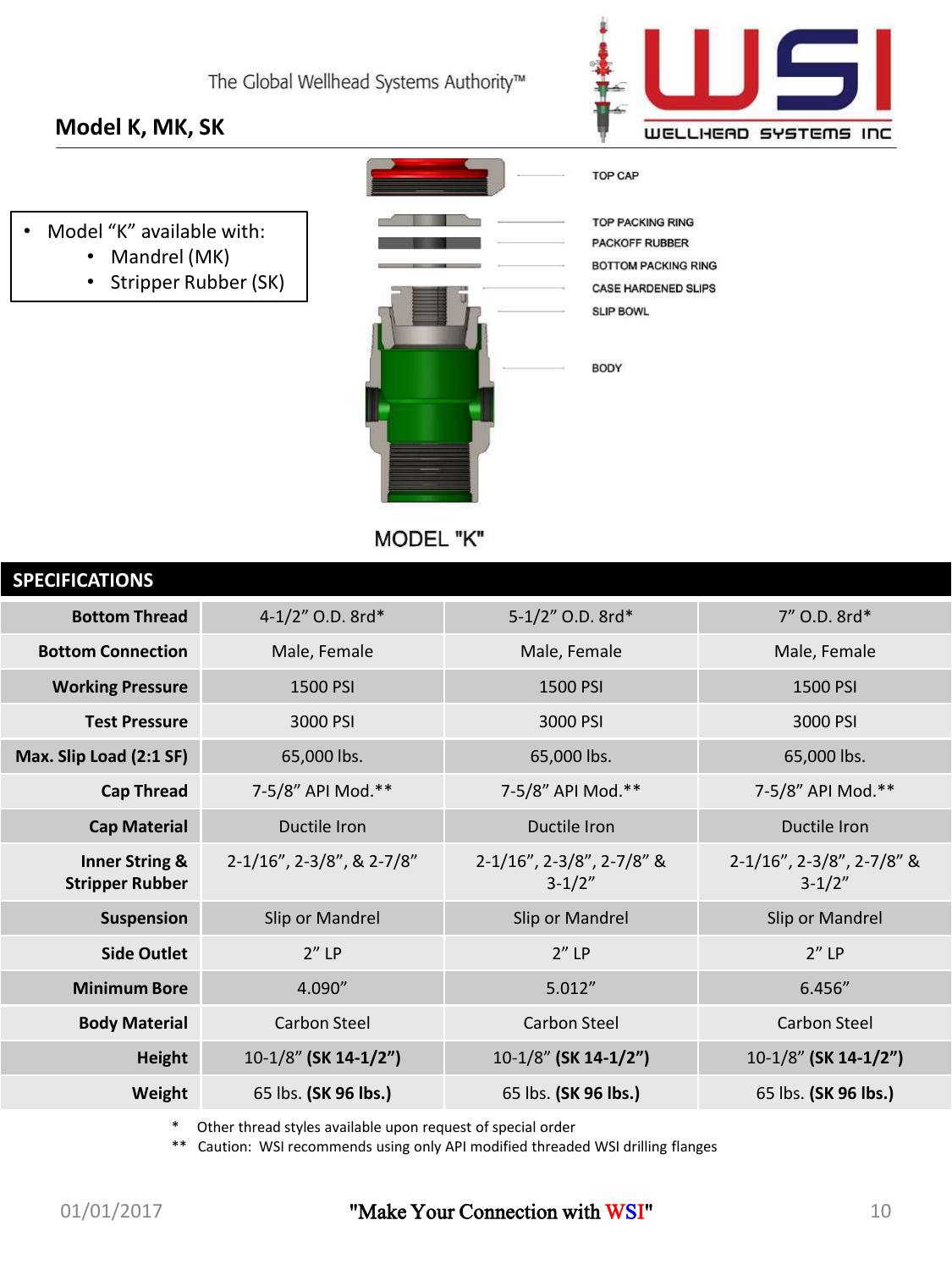### **Model K, MK, SK**

- Model "K" available with:
	- Mandrel (MK)
	- Stripper Rubber (SK)



**TOP PACKING RING** PACKOFF RUBBER **BOTTOM PACKING RING CASE HARDENED SLIPS SLIP BOWL** 

**TOP CAP** 

BODY

MODEL "K"

| 4-1/2" O.D. 8rd*          | 5-1/2" O.D. 8rd*                        | 7" O.D. 8rd*                            |
|---------------------------|-----------------------------------------|-----------------------------------------|
| Male, Female              | Male, Female                            | Male, Female                            |
| 1500 PSI                  | 1500 PSI                                | 1500 PSI                                |
| 3000 PSI                  | 3000 PSI                                | 3000 PSI                                |
| 65,000 lbs.               | 65,000 lbs.                             | 65,000 lbs.                             |
| 7-5/8" API Mod.**         | 7-5/8" API Mod.**                       | 7-5/8" API Mod.**                       |
| Ductile Iron              | Ductile Iron                            | Ductile Iron                            |
| 2-1/16", 2-3/8", & 2-7/8" | 2-1/16", 2-3/8", 2-7/8" &<br>$3 - 1/2"$ | 2-1/16", 2-3/8", 2-7/8" &<br>$3 - 1/2"$ |
| Slip or Mandrel           | Slip or Mandrel                         | Slip or Mandrel                         |
| $2''$ LP                  | $2''$ LP                                | $2''$ LP                                |
| 4.090"                    | 5.012''                                 | 6.456''                                 |
| <b>Carbon Steel</b>       | <b>Carbon Steel</b>                     | <b>Carbon Steel</b>                     |
| 10-1/8" (SK 14-1/2")      | 10-1/8" (SK 14-1/2")                    | 10-1/8" (SK 14-1/2")                    |
| 65 lbs. (SK 96 lbs.)      | 65 lbs. (SK 96 lbs.)                    | 65 lbs. (SK 96 lbs.)                    |
|                           |                                         |                                         |

Other thread styles available upon request of special order

\*\* Caution: WSI recommends using only API modified threaded WSI drilling flanges

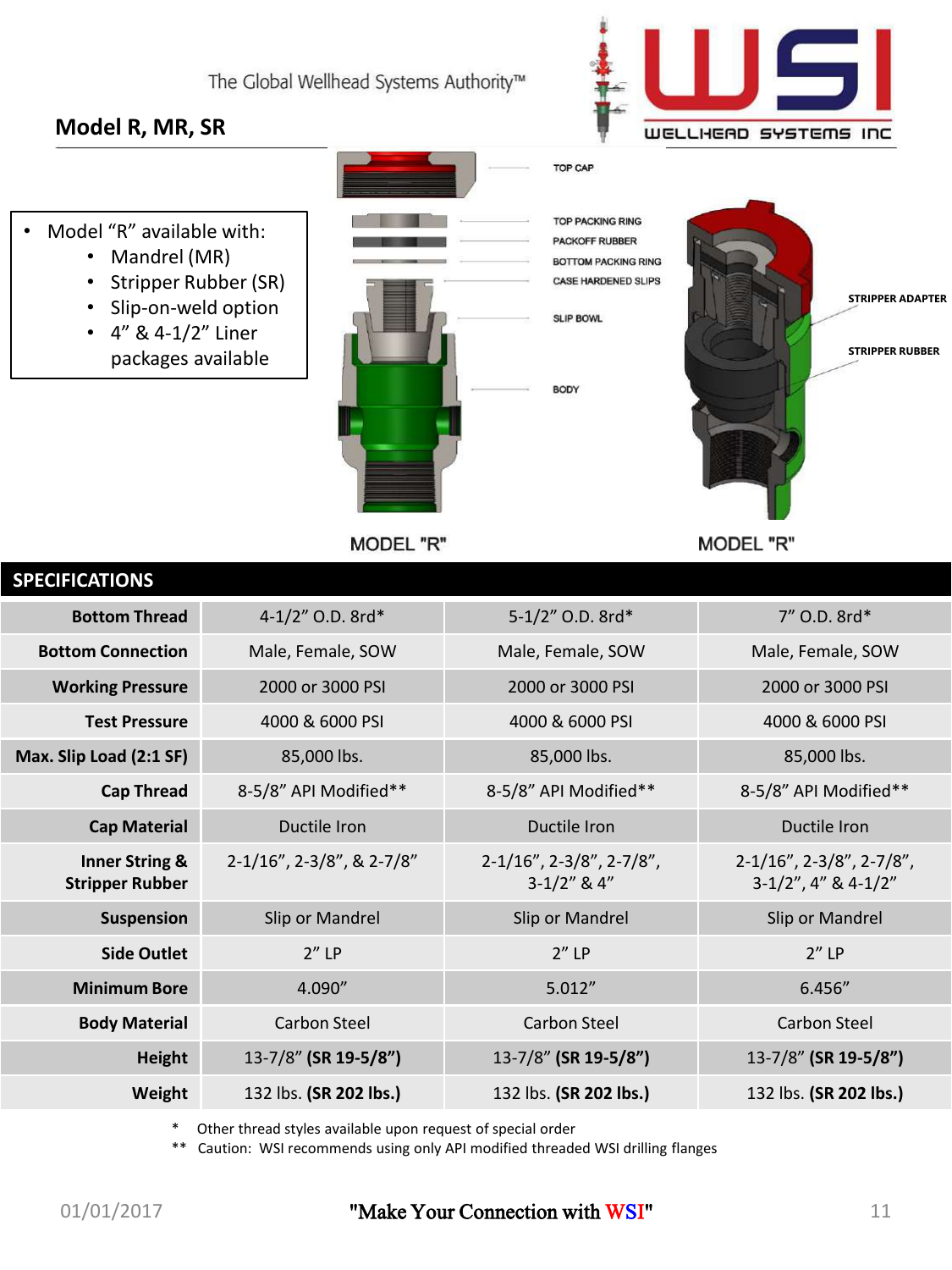### **Model R, MR, SR**





- Mandrel (MR)
- Stripper Rubber (SR)
- Slip-on-weld option
- 4" & 4-1/2" Liner packages available



**MODEL "R"** 



**SLIP BOWL** 

**BODY** 

TOP CAP



**MODEL "R"** 

| <b>SPECIFICATIONS</b>                               |                           |                                                    |                                                             |
|-----------------------------------------------------|---------------------------|----------------------------------------------------|-------------------------------------------------------------|
| <b>Bottom Thread</b>                                | 4-1/2" O.D. 8rd*          | 5-1/2" O.D. 8rd*                                   | 7" O.D. 8rd*                                                |
| <b>Bottom Connection</b>                            | Male, Female, SOW         | Male, Female, SOW                                  | Male, Female, SOW                                           |
| <b>Working Pressure</b>                             | 2000 or 3000 PSI          | 2000 or 3000 PSI                                   | 2000 or 3000 PSI                                            |
| <b>Test Pressure</b>                                | 4000 & 6000 PSI           | 4000 & 6000 PSI                                    | 4000 & 6000 PSI                                             |
| Max. Slip Load (2:1 SF)                             | 85,000 lbs.               | 85,000 lbs.                                        | 85,000 lbs.                                                 |
| <b>Cap Thread</b>                                   | 8-5/8" API Modified**     | 8-5/8" API Modified**                              | 8-5/8" API Modified**                                       |
| <b>Cap Material</b>                                 | Ductile Iron              | Ductile Iron                                       | Ductile Iron                                                |
| <b>Inner String &amp;</b><br><b>Stripper Rubber</b> | 2-1/16", 2-3/8", & 2-7/8" | $2-1/16$ ", $2-3/8$ ", $2-7/8$ ",<br>$3-1/2"$ & 4" | $2-1/16$ ", $2-3/8$ ", $2-7/8$ ",<br>$3-1/2$ ", 4" & 4-1/2" |
| Suspension                                          | Slip or Mandrel           | Slip or Mandrel                                    | Slip or Mandrel                                             |
| <b>Side Outlet</b>                                  | $2''$ LP                  | $2''$ LP                                           | $2''$ LP                                                    |
| <b>Minimum Bore</b>                                 | 4.090''                   | 5.012''                                            | 6.456''                                                     |
| <b>Body Material</b>                                | Carbon Steel              | Carbon Steel                                       | <b>Carbon Steel</b>                                         |
| <b>Height</b>                                       | 13-7/8" (SR 19-5/8")      | 13-7/8" (SR 19-5/8")                               | 13-7/8" (SR 19-5/8")                                        |
| Weight                                              | 132 lbs. (SR 202 lbs.)    | 132 lbs. (SR 202 lbs.)                             | 132 lbs. (SR 202 lbs.)                                      |
|                                                     |                           |                                                    |                                                             |

Other thread styles available upon request of special order

\*\* Caution: WSI recommends using only API modified threaded WSI drilling flanges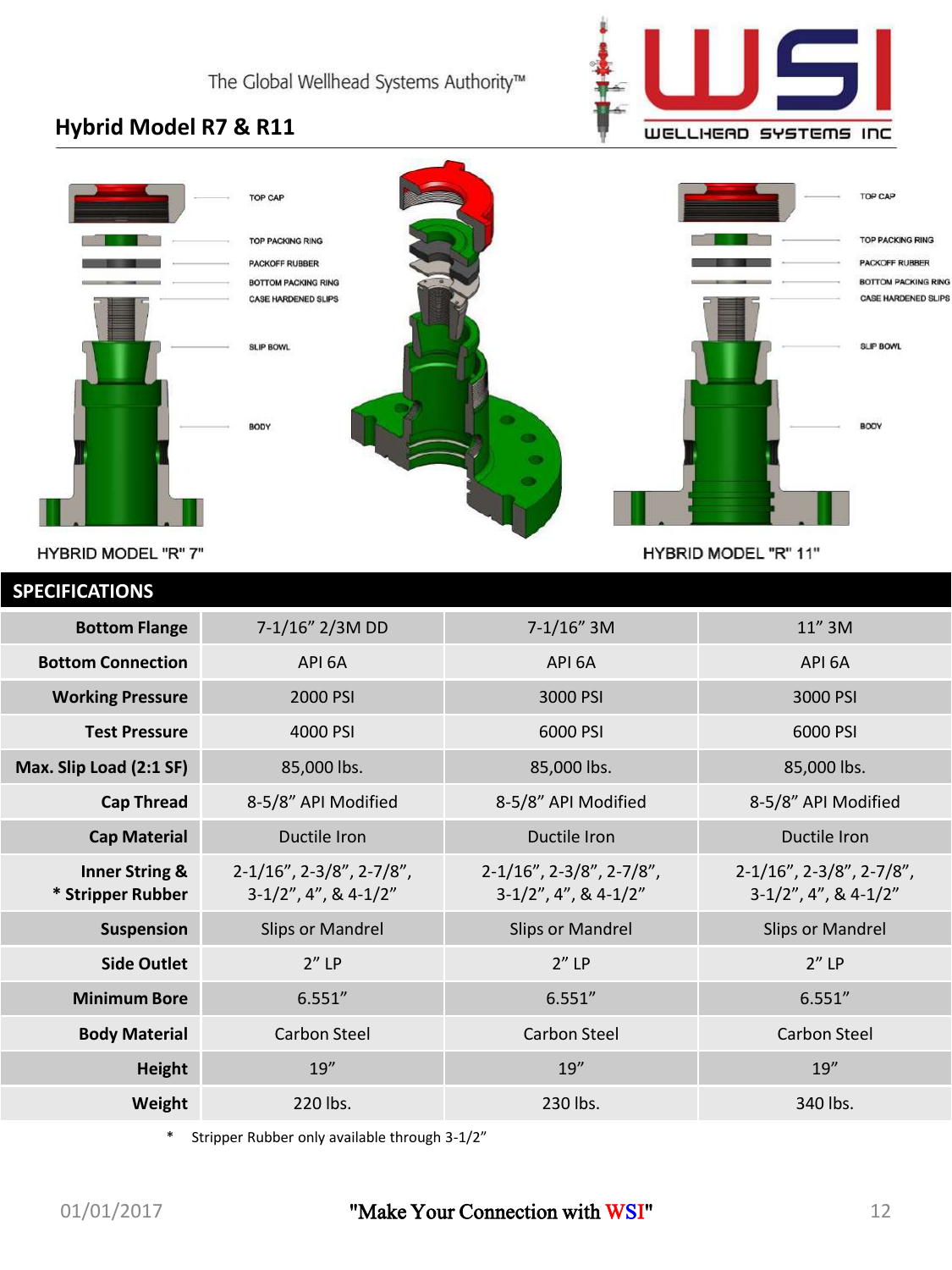

### **Hybrid Model R7 & R11**



HYBRID MODEL "R" 7"

HYBRID MODEL "R" 11"

| 7-1/16" 2/3M DD                                              | $7-1/16''$ 3M                                                | 11" 3M                                                       |
|--------------------------------------------------------------|--------------------------------------------------------------|--------------------------------------------------------------|
| API 6A                                                       | API 6A                                                       | API 6A                                                       |
| 2000 PSI                                                     | 3000 PSI                                                     | 3000 PSI                                                     |
| 4000 PSI                                                     | 6000 PSI                                                     | 6000 PSI                                                     |
| 85,000 lbs.                                                  | 85,000 lbs.                                                  | 85,000 lbs.                                                  |
| 8-5/8" API Modified                                          | 8-5/8" API Modified                                          | 8-5/8" API Modified                                          |
| Ductile Iron                                                 | Ductile Iron                                                 | Ductile Iron                                                 |
| $2-1/16$ ", $2-3/8$ ", $2-7/8$ ",<br>$3-1/2$ ", 4", & 4-1/2" | $2-1/16$ ", $2-3/8$ ", $2-7/8$ ",<br>$3-1/2$ ", 4", & 4-1/2" | $2-1/16$ ", $2-3/8$ ", $2-7/8$ ",<br>$3-1/2$ ", 4", & 4-1/2" |
| <b>Slips or Mandrel</b>                                      | <b>Slips or Mandrel</b>                                      | <b>Slips or Mandrel</b>                                      |
| $2''$ LP                                                     | $2''$ LP                                                     | $2''$ LP                                                     |
| 6.551''                                                      | 6.551''                                                      | 6.551''                                                      |
| Carbon Steel                                                 | Carbon Steel                                                 | Carbon Steel                                                 |
| 19''                                                         | 19''                                                         | 19''                                                         |
| 220 lbs.                                                     | 230 lbs.                                                     | 340 lbs.                                                     |
|                                                              |                                                              |                                                              |

\* Stripper Rubber only available through 3-1/2"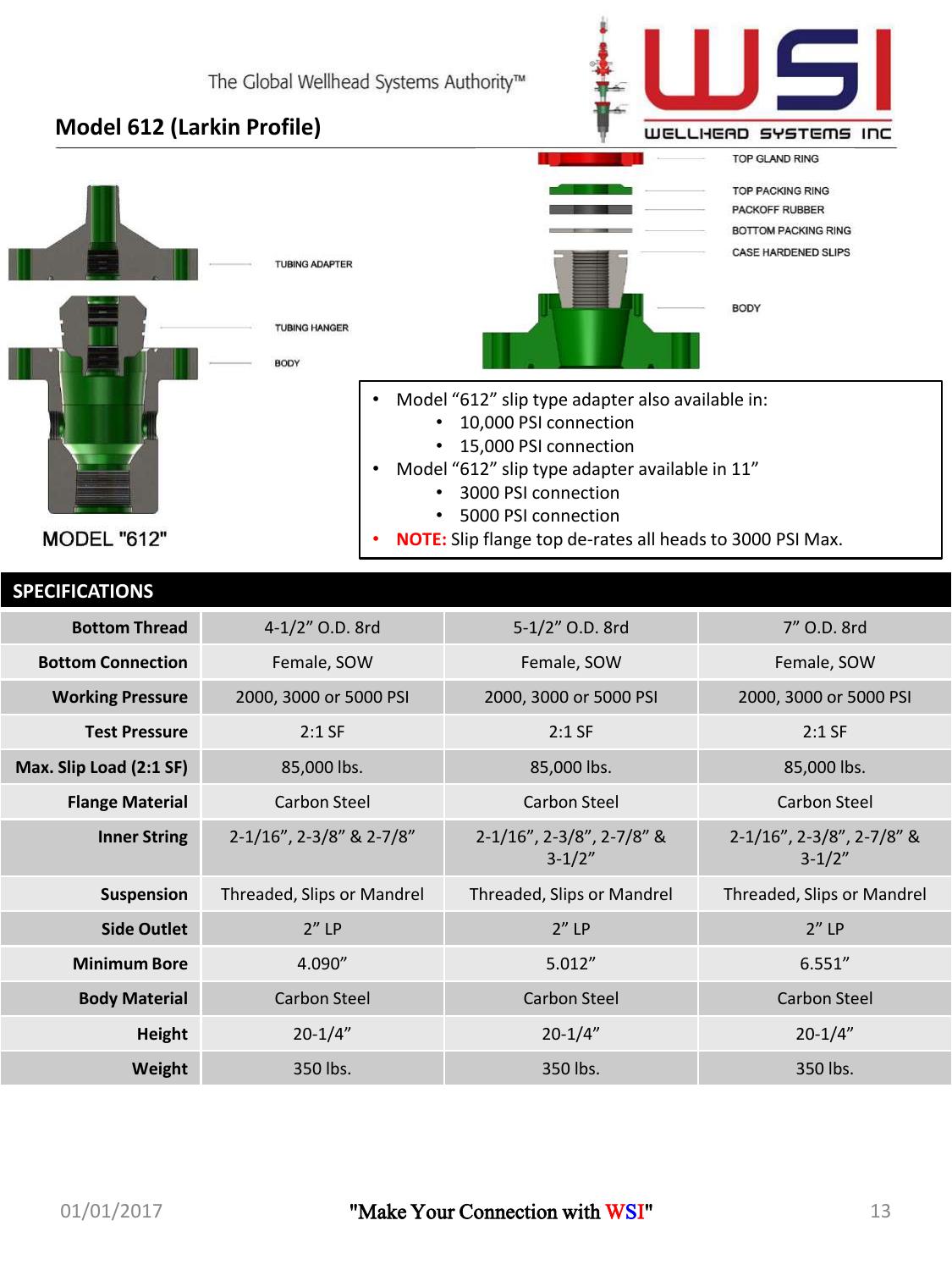## WELLHEAD SYSTEMS INC **TOP GLAND RING TOP PACKING RING** PACKOFF RUBBER **BOTTOM PACKING RING**

### **Model 612 (Larkin Profile)**



| <b>Bottom Thread</b>     | 4-1/2" O.D. 8rd            | 5-1/2" O.D. 8rd                         | 7" O.D. 8rd                           |
|--------------------------|----------------------------|-----------------------------------------|---------------------------------------|
| <b>Bottom Connection</b> | Female, SOW                | Female, SOW                             | Female, SOW                           |
| <b>Working Pressure</b>  | 2000, 3000 or 5000 PSI     | 2000, 3000 or 5000 PSI                  | 2000, 3000 or 5000 PSI                |
| <b>Test Pressure</b>     | $2:1$ SF                   | $2:1$ SF                                | $2:1$ SF                              |
| Max. Slip Load (2:1 SF)  | 85,000 lbs.                | 85,000 lbs.                             | 85,000 lbs.                           |
| <b>Flange Material</b>   | Carbon Steel               | Carbon Steel                            | Carbon Steel                          |
| <b>Inner String</b>      | 2-1/16", 2-3/8" & 2-7/8"   | 2-1/16", 2-3/8", 2-7/8" &<br>$3 - 1/2"$ | 2-1/16", 2-3/8", 2-7/8" &<br>$3-1/2"$ |
| Suspension               | Threaded, Slips or Mandrel | Threaded, Slips or Mandrel              | Threaded, Slips or Mandrel            |
| <b>Side Outlet</b>       | $2''$ LP                   | $2''$ LP                                | $2''$ LP                              |
| <b>Minimum Bore</b>      | 4.090"                     | 5.012''                                 | 6.551''                               |
| <b>Body Material</b>     | Carbon Steel               | <b>Carbon Steel</b>                     | Carbon Steel                          |
| Height                   | $20 - 1/4"$                | $20 - 1/4"$                             | $20 - 1/4"$                           |
| Weight                   | 350 lbs.                   | 350 lbs.                                | 350 lbs.                              |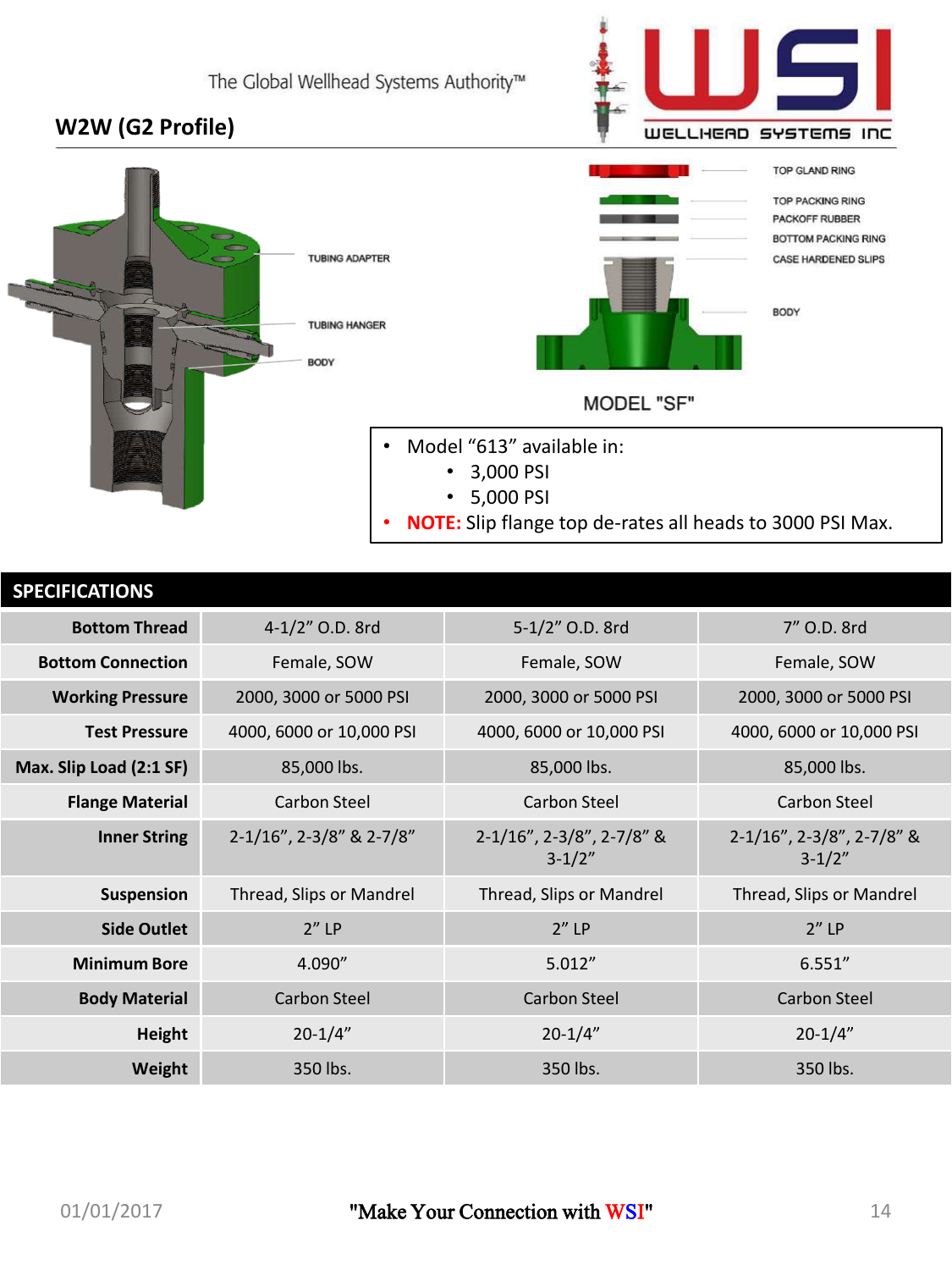### **W2W (G2 Profile)**



| <b>SPECIFICATIONS</b>    |                          |                                         |                                         |
|--------------------------|--------------------------|-----------------------------------------|-----------------------------------------|
| <b>Bottom Thread</b>     | 4-1/2" O.D. 8rd          | 5-1/2" O.D. 8rd                         | 7" O.D. 8rd                             |
| <b>Bottom Connection</b> | Female, SOW              | Female, SOW                             | Female, SOW                             |
| <b>Working Pressure</b>  | 2000, 3000 or 5000 PSI   | 2000, 3000 or 5000 PSI                  | 2000, 3000 or 5000 PSI                  |
| <b>Test Pressure</b>     | 4000, 6000 or 10,000 PSI | 4000, 6000 or 10,000 PSI                | 4000, 6000 or 10,000 PSI                |
| Max. Slip Load (2:1 SF)  | 85,000 lbs.              | 85,000 lbs.                             | 85,000 lbs.                             |
| <b>Flange Material</b>   | Carbon Steel             | Carbon Steel                            | Carbon Steel                            |
| <b>Inner String</b>      | 2-1/16", 2-3/8" & 2-7/8" | 2-1/16", 2-3/8", 2-7/8" &<br>$3 - 1/2"$ | 2-1/16", 2-3/8", 2-7/8" &<br>$3 - 1/2"$ |
| Suspension               | Thread, Slips or Mandrel | Thread, Slips or Mandrel                | Thread, Slips or Mandrel                |
| <b>Side Outlet</b>       | $2''$ LP                 | $2''$ LP                                | $2''$ LP                                |
| <b>Minimum Bore</b>      | 4.090''                  | 5.012''                                 | 6.551''                                 |
| <b>Body Material</b>     | Carbon Steel             | Carbon Steel                            | Carbon Steel                            |
| <b>Height</b>            | $20 - 1/4"$              | $20 - 1/4"$                             | $20 - 1/4"$                             |
| Weight                   | 350 lbs.                 | 350 lbs.                                | 350 lbs.                                |

WELLHEAD SYSTEMS INC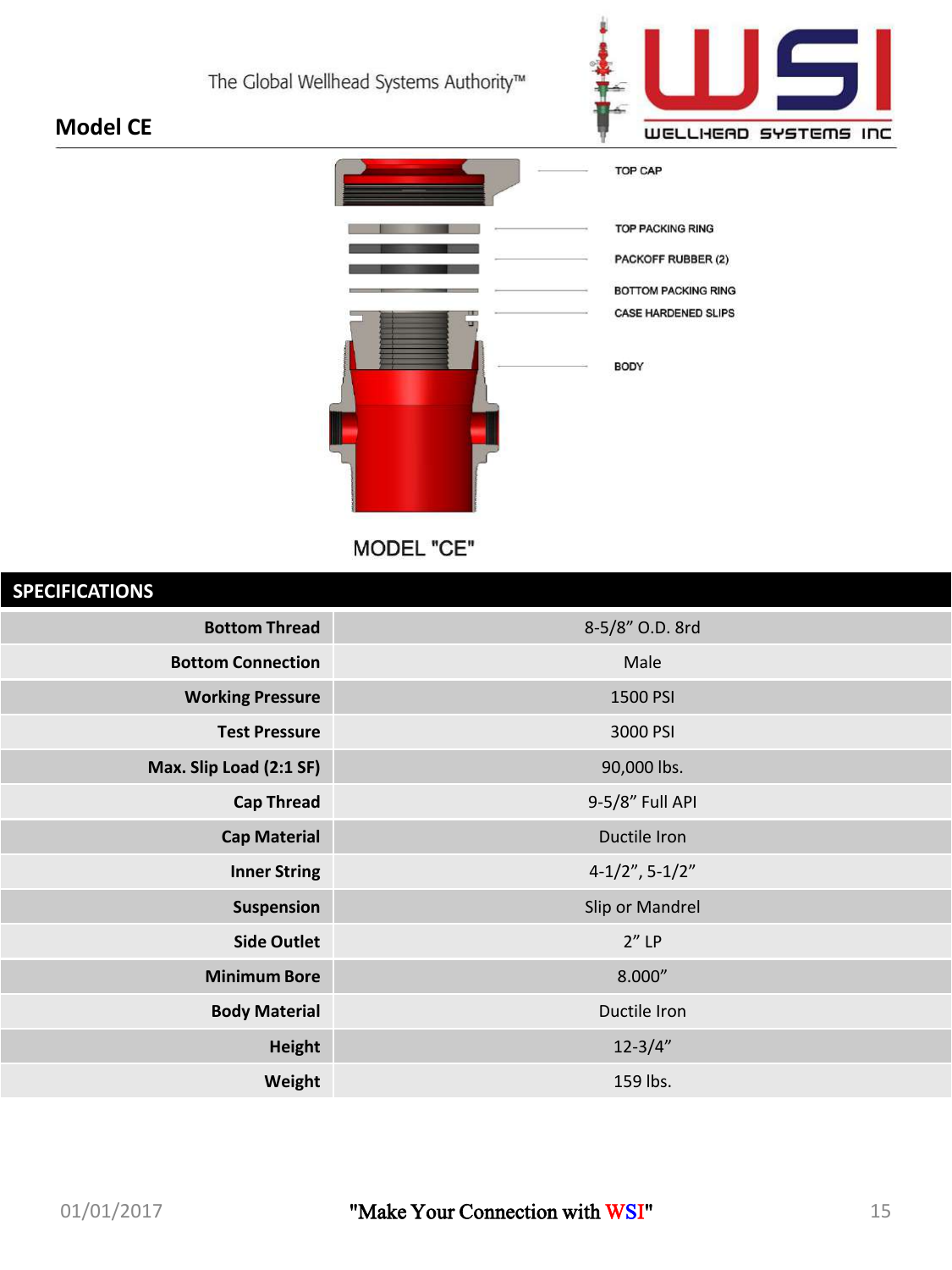

### **Model CE**



MODEL "CE"

### **SPECIFICATIONS**

| <u>JI LUITUATIUTU</u>    |                   |
|--------------------------|-------------------|
| <b>Bottom Thread</b>     | 8-5/8" O.D. 8rd   |
| <b>Bottom Connection</b> | Male              |
| <b>Working Pressure</b>  | 1500 PSI          |
| <b>Test Pressure</b>     | 3000 PSI          |
| Max. Slip Load (2:1 SF)  | 90,000 lbs.       |
| <b>Cap Thread</b>        | 9-5/8" Full API   |
| <b>Cap Material</b>      | Ductile Iron      |
| <b>Inner String</b>      | $4-1/2$ ", 5-1/2" |
| Suspension               | Slip or Mandrel   |
| <b>Side Outlet</b>       | $2''$ LP          |
| <b>Minimum Bore</b>      | 8.000''           |
| <b>Body Material</b>     | Ductile Iron      |
| <b>Height</b>            | $12 - 3/4"$       |
| Weight                   | 159 lbs.          |
|                          |                   |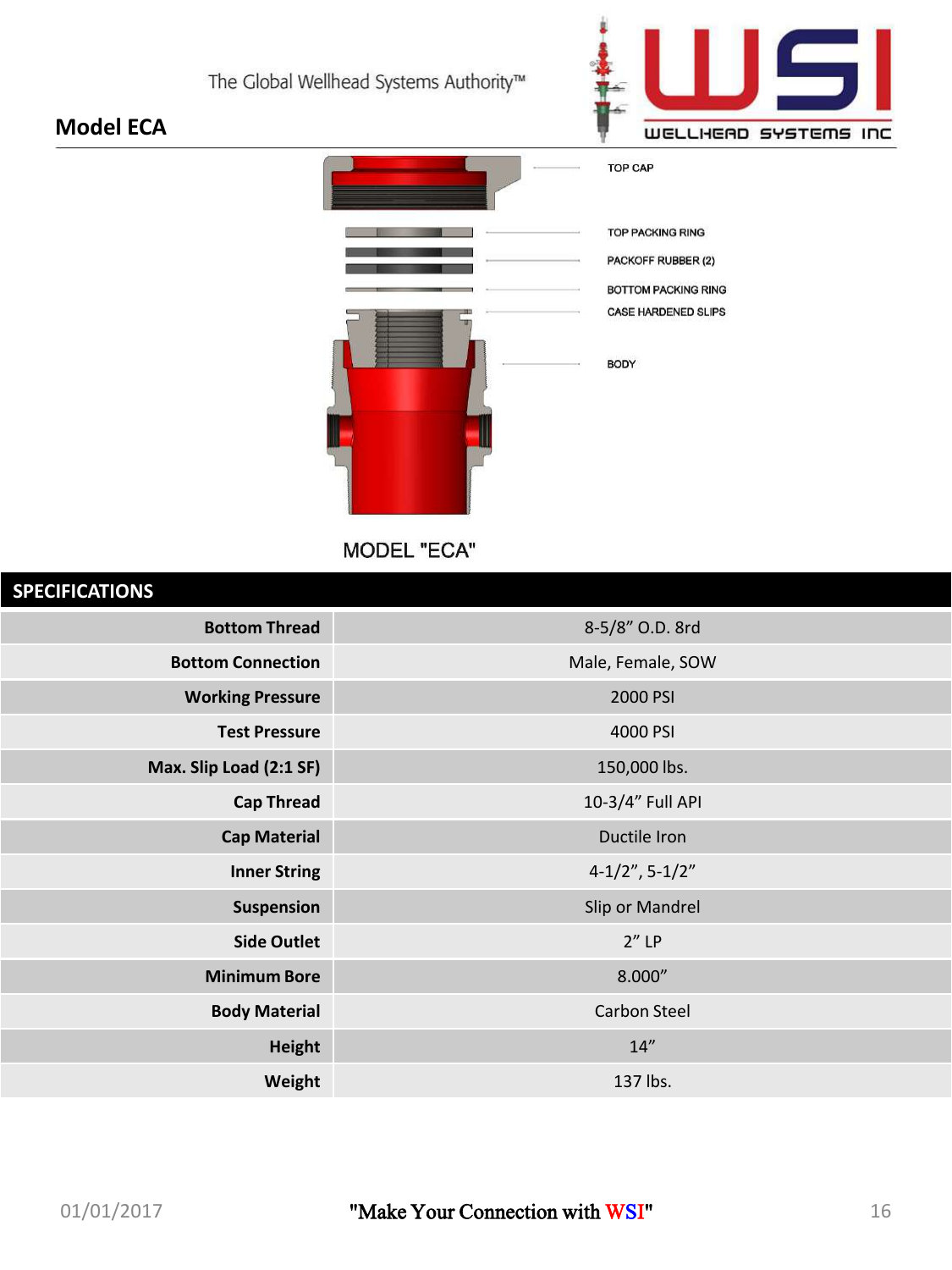

# **TOP CAP TOP PACKING RING** PACKOFF RUBBER (2) **BOTTOM PACKING RING** CASE HARDENED SLIPS BODY

**MODEL "ECA"** 

| <b>SPECIFICATIONS</b>    |                      |
|--------------------------|----------------------|
| <b>Bottom Thread</b>     | 8-5/8" O.D. 8rd      |
| <b>Bottom Connection</b> | Male, Female, SOW    |
| <b>Working Pressure</b>  | 2000 PSI             |
| <b>Test Pressure</b>     | 4000 PSI             |
| Max. Slip Load (2:1 SF)  | 150,000 lbs.         |
| <b>Cap Thread</b>        | 10-3/4" Full API     |
| <b>Cap Material</b>      | Ductile Iron         |
| <b>Inner String</b>      | $4-1/2$ ", $5-1/2$ " |
| Suspension               | Slip or Mandrel      |
| <b>Side Outlet</b>       | $2''$ LP             |
| <b>Minimum Bore</b>      | 8.000''              |
| <b>Body Material</b>     | <b>Carbon Steel</b>  |
| <b>Height</b>            | 14"                  |
| Weight                   | 137 lbs.             |

**Model ECA**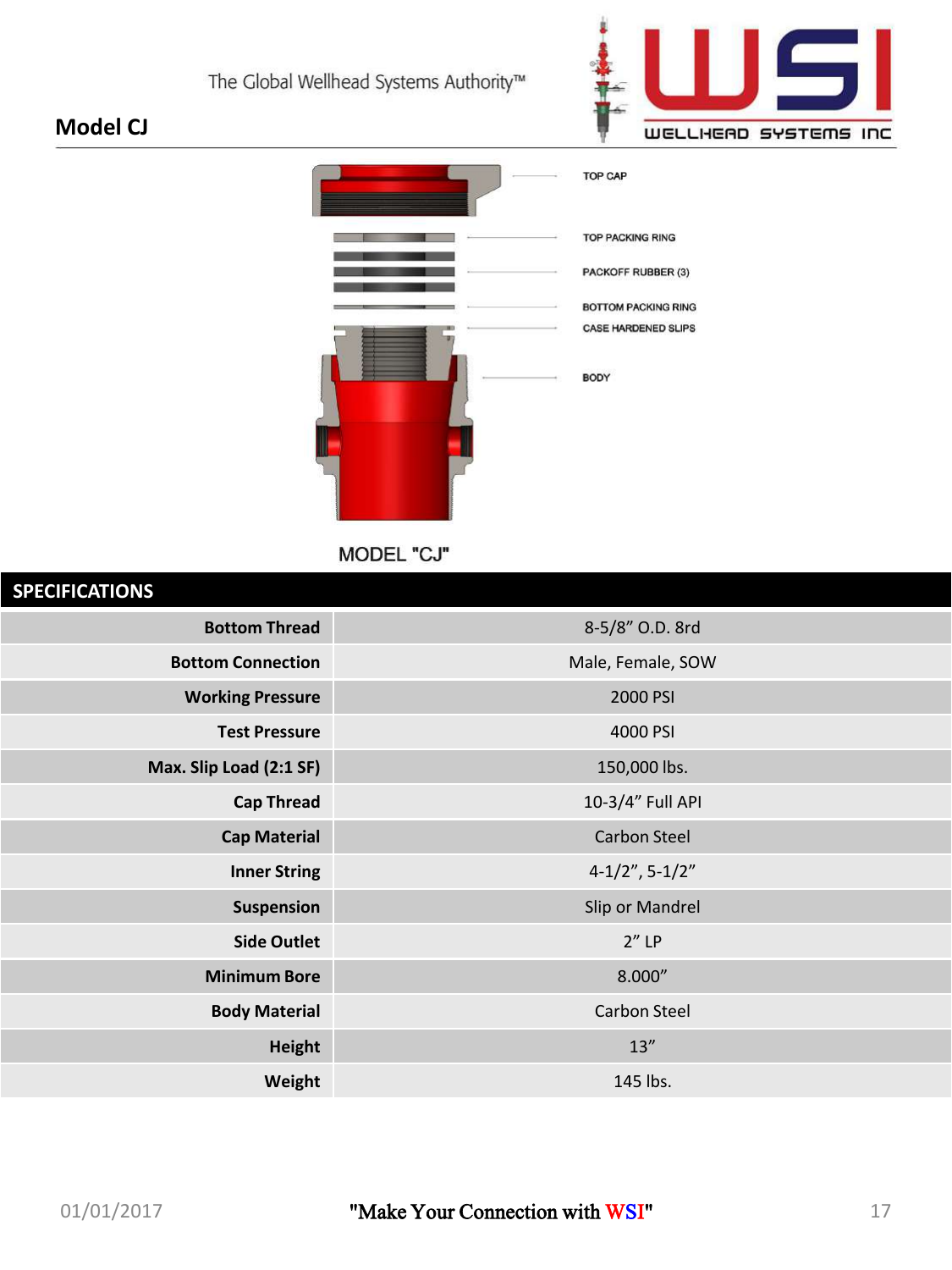

### **Model CJ**



MODEL "CJ"

| <b>SPECIFICATIONS</b>    |                      |
|--------------------------|----------------------|
| <b>Bottom Thread</b>     | 8-5/8" O.D. 8rd      |
| <b>Bottom Connection</b> | Male, Female, SOW    |
| <b>Working Pressure</b>  | 2000 PSI             |
| <b>Test Pressure</b>     | 4000 PSI             |
| Max. Slip Load (2:1 SF)  | 150,000 lbs.         |
| <b>Cap Thread</b>        | 10-3/4" Full API     |
| <b>Cap Material</b>      | <b>Carbon Steel</b>  |
| <b>Inner String</b>      | $4-1/2$ ", $5-1/2$ " |
| Suspension               | Slip or Mandrel      |
| <b>Side Outlet</b>       | $2''$ LP             |
| <b>Minimum Bore</b>      | 8.000''              |
| <b>Body Material</b>     | <b>Carbon Steel</b>  |
| <b>Height</b>            | 13''                 |
| Weight                   | 145 lbs.             |
|                          |                      |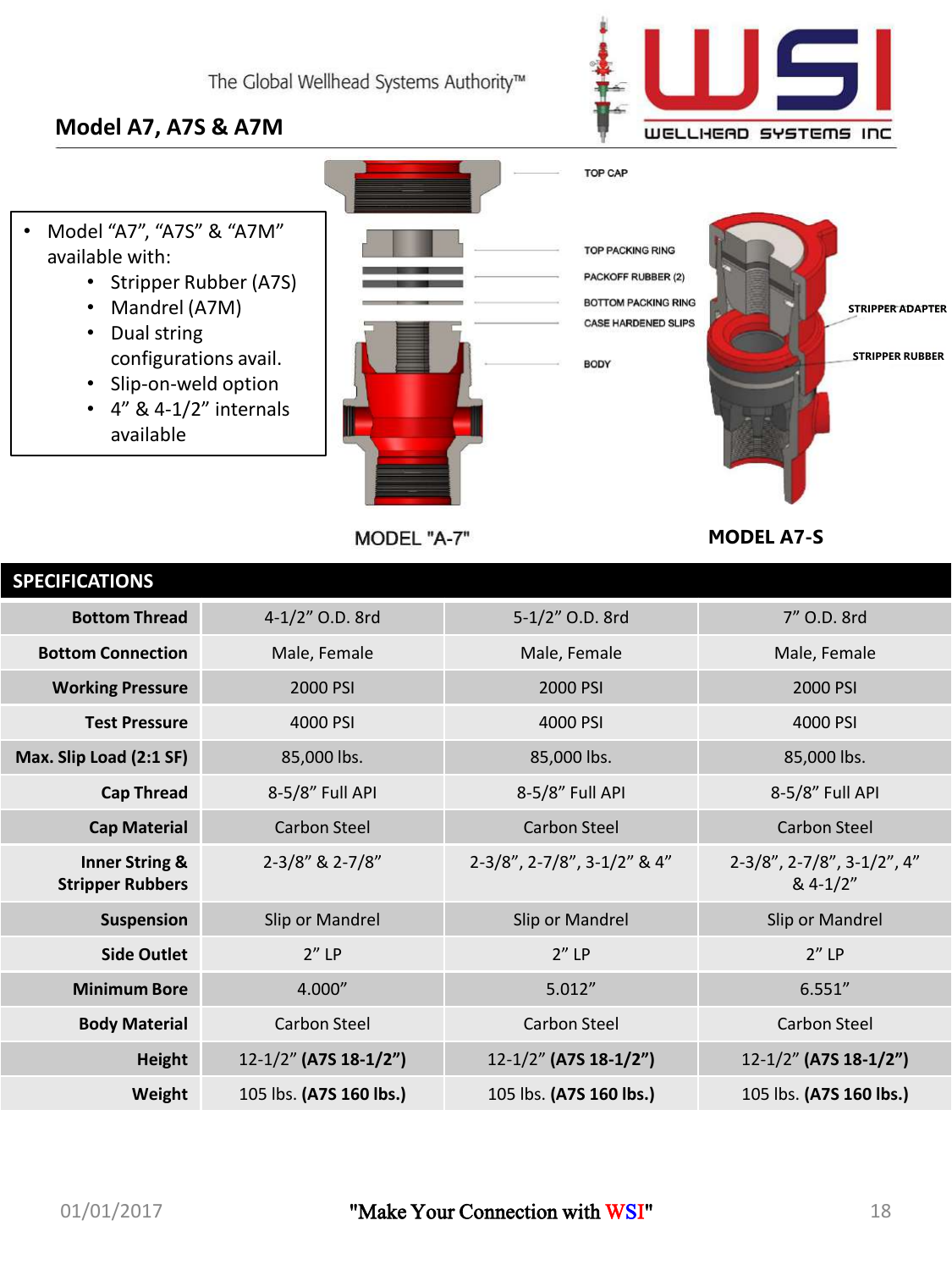

### **Model A7, A7S & A7M**

- Model "A7", "A7S" & "A7M" available with:
	- Stripper Rubber (A7S)
	- Mandrel (A7M)
	- Dual string configurations avail.
	- Slip-on-weld option
	- $\cdot$  4" & 4-1/2" internals available



MODEL "A-7"

**TOP PACKING RING** PACKOFF RUBBER (2) **BOTTOM PACKING RING** CASE HARDENED SLIPS BODY

TOP CAP



**MODEL A7-S**

| <b>SPECIFICATIONS</b>                                |                         |                             |                                                      |
|------------------------------------------------------|-------------------------|-----------------------------|------------------------------------------------------|
| <b>Bottom Thread</b>                                 | 4-1/2" O.D. 8rd         | 5-1/2" O.D. 8rd             | 7" O.D. 8rd                                          |
| <b>Bottom Connection</b>                             | Male, Female            | Male, Female                | Male, Female                                         |
| <b>Working Pressure</b>                              | 2000 PSI                | 2000 PSI                    | 2000 PSI                                             |
| <b>Test Pressure</b>                                 | 4000 PSI                | 4000 PSI                    | 4000 PSI                                             |
| Max. Slip Load (2:1 SF)                              | 85,000 lbs.             | 85,000 lbs.                 | 85,000 lbs.                                          |
| <b>Cap Thread</b>                                    | 8-5/8" Full API         | 8-5/8" Full API             | 8-5/8" Full API                                      |
| <b>Cap Material</b>                                  | Carbon Steel            | Carbon Steel                | Carbon Steel                                         |
| <b>Inner String &amp;</b><br><b>Stripper Rubbers</b> | 2-3/8" & 2-7/8"         | 2-3/8", 2-7/8", 3-1/2" & 4" | $2-3/8$ ", $2-7/8$ ", $3-1/2$ ", $4$ "<br>$& 4-1/2"$ |
| <b>Suspension</b>                                    | Slip or Mandrel         | Slip or Mandrel             | Slip or Mandrel                                      |
| <b>Side Outlet</b>                                   | $2''$ LP                | $2''$ LP                    | $2''$ LP                                             |
| <b>Minimum Bore</b>                                  | 4.000"                  | 5.012''                     | 6.551''                                              |
| <b>Body Material</b>                                 | Carbon Steel            | Carbon Steel                | Carbon Steel                                         |
| <b>Height</b>                                        | 12-1/2" (A7S 18-1/2")   | 12-1/2" (A7S 18-1/2")       | 12-1/2" (A7S 18-1/2")                                |
| Weight                                               | 105 lbs. (A7S 160 lbs.) | 105 lbs. (A7S 160 lbs.)     | 105 lbs. (A7S 160 lbs.)                              |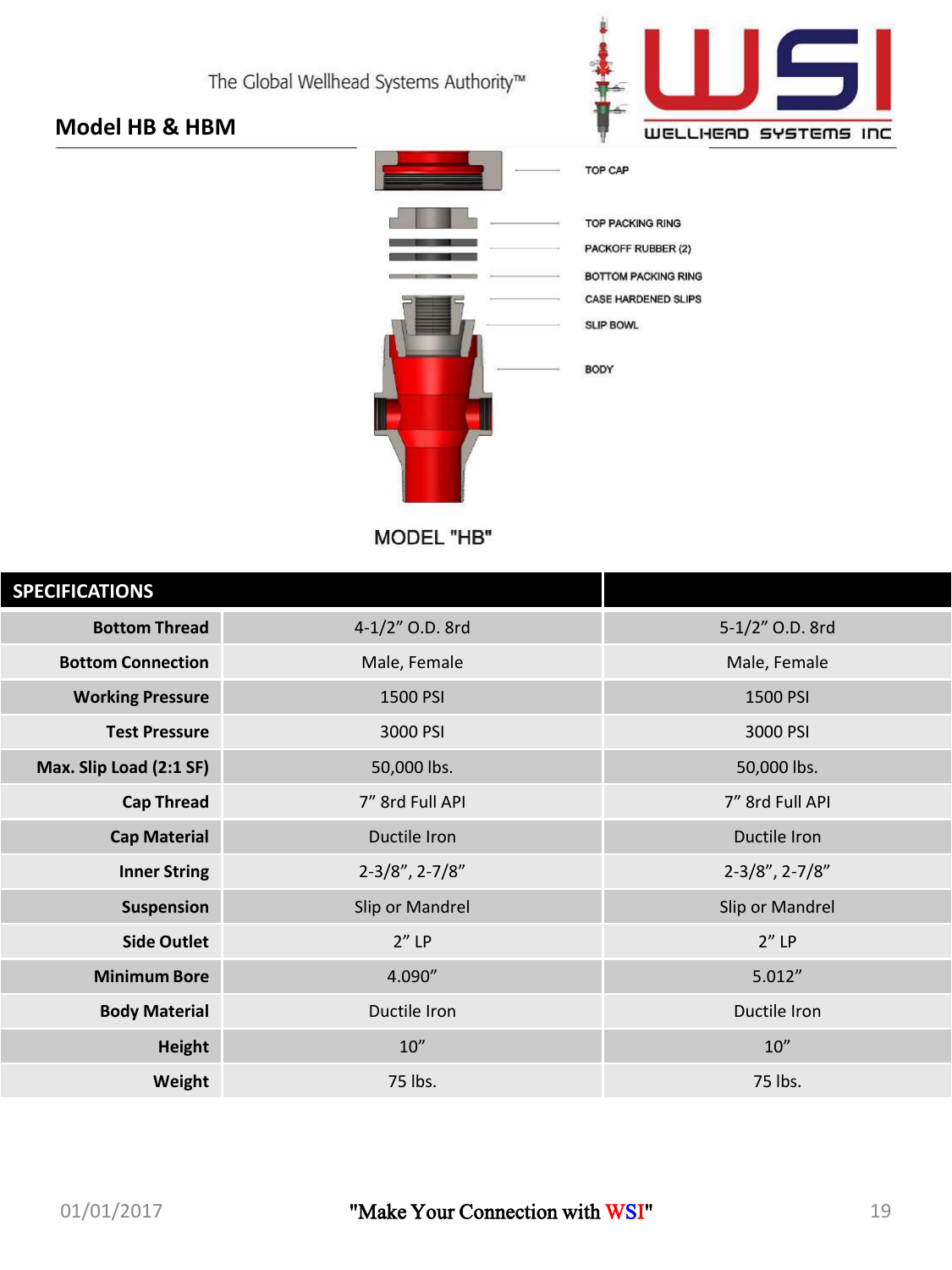

### **Model HB & HBM**



MODEL "HB"

| <b>SPECIFICATIONS</b>    |                      |                          |
|--------------------------|----------------------|--------------------------|
| <b>Bottom Thread</b>     | 4-1/2" O.D. 8rd      | 5-1/2" O.D. 8rd          |
| <b>Bottom Connection</b> | Male, Female         | Male, Female             |
| <b>Working Pressure</b>  | 1500 PSI             | 1500 PSI                 |
| <b>Test Pressure</b>     | 3000 PSI             | 3000 PSI                 |
| Max. Slip Load (2:1 SF)  | 50,000 lbs.          | 50,000 lbs.              |
| <b>Cap Thread</b>        | 7" 8rd Full API      | 7" 8rd Full API          |
| <b>Cap Material</b>      | Ductile Iron         | Ductile Iron             |
| <b>Inner String</b>      | $2-3/8$ ", $2-7/8$ " | $2 - 3/8$ ", $2 - 7/8$ " |
| <b>Suspension</b>        | Slip or Mandrel      | Slip or Mandrel          |
| <b>Side Outlet</b>       | $2''$ LP             | $2''$ LP                 |
| <b>Minimum Bore</b>      | 4.090"               | 5.012''                  |
| <b>Body Material</b>     | Ductile Iron         | Ductile Iron             |
| <b>Height</b>            | 10''                 | 10''                     |
| Weight                   | 75 lbs.              | 75 lbs.                  |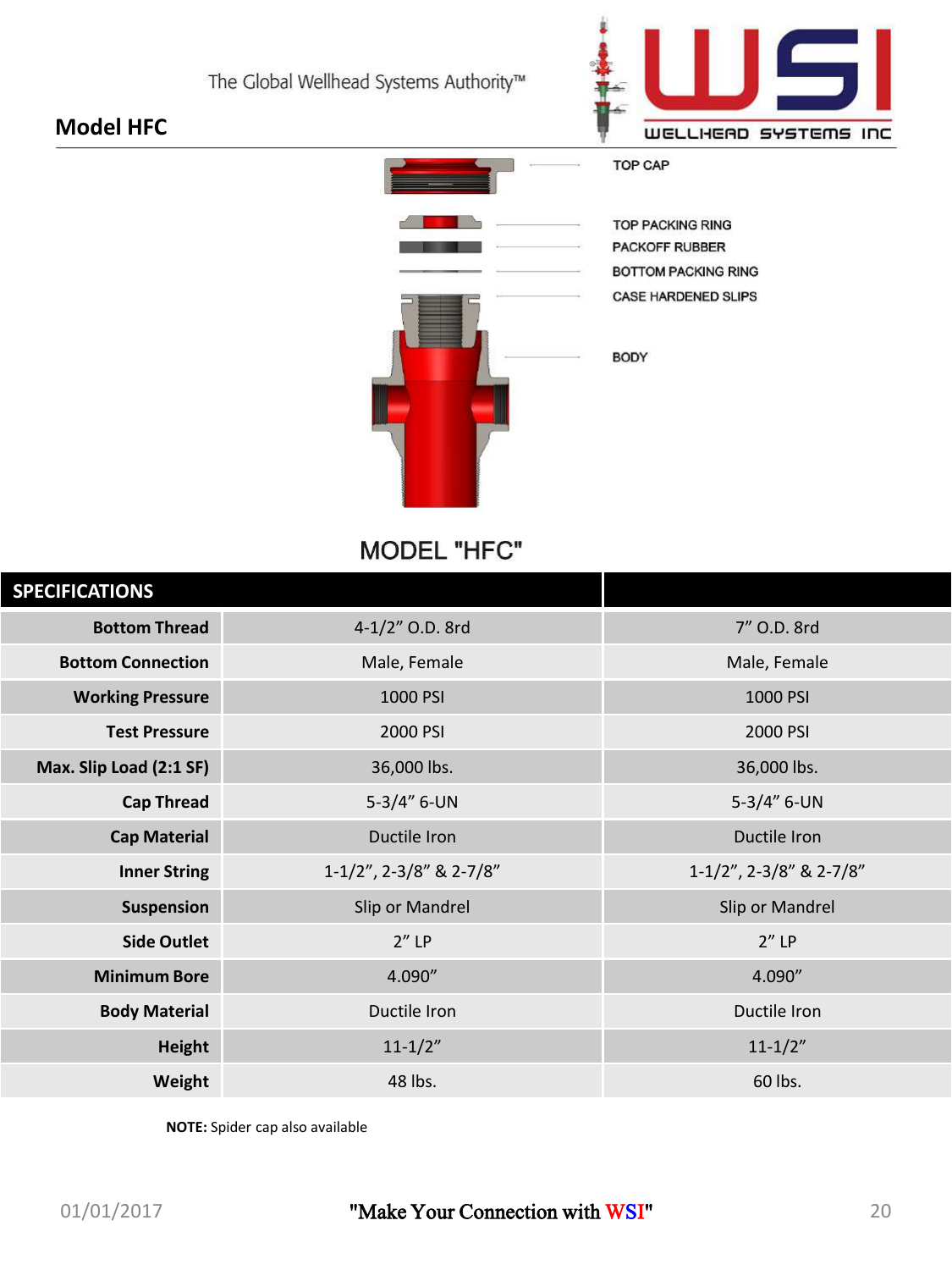

### **Model HFC**



**MODEL "HFC"** 

| <b>SPECIFICATIONS</b>    |                         |                                  |
|--------------------------|-------------------------|----------------------------------|
| <b>Bottom Thread</b>     | 4-1/2" O.D. 8rd         | 7" O.D. 8rd                      |
| <b>Bottom Connection</b> | Male, Female            | Male, Female                     |
| <b>Working Pressure</b>  | 1000 PSI                | 1000 PSI                         |
| <b>Test Pressure</b>     | 2000 PSI                | 2000 PSI                         |
| Max. Slip Load (2:1 SF)  | 36,000 lbs.             | 36,000 lbs.                      |
| <b>Cap Thread</b>        | $5-3/4"$ 6-UN           | $5-3/4" 6-UN$                    |
| <b>Cap Material</b>      | Ductile Iron            | Ductile Iron                     |
| <b>Inner String</b>      | 1-1/2", 2-3/8" & 2-7/8" | $1-1/2$ ", $2-3/8$ " & $2-7/8$ " |
| <b>Suspension</b>        | Slip or Mandrel         | Slip or Mandrel                  |
| <b>Side Outlet</b>       | $2''$ LP                | $2''$ LP                         |
| <b>Minimum Bore</b>      | 4.090"                  | 4.090"                           |
| <b>Body Material</b>     | Ductile Iron            | Ductile Iron                     |
| <b>Height</b>            | $11 - 1/2"$             | $11 - 1/2"$                      |
| Weight                   | 48 lbs.                 | 60 lbs.                          |

**NOTE:** Spider cap also available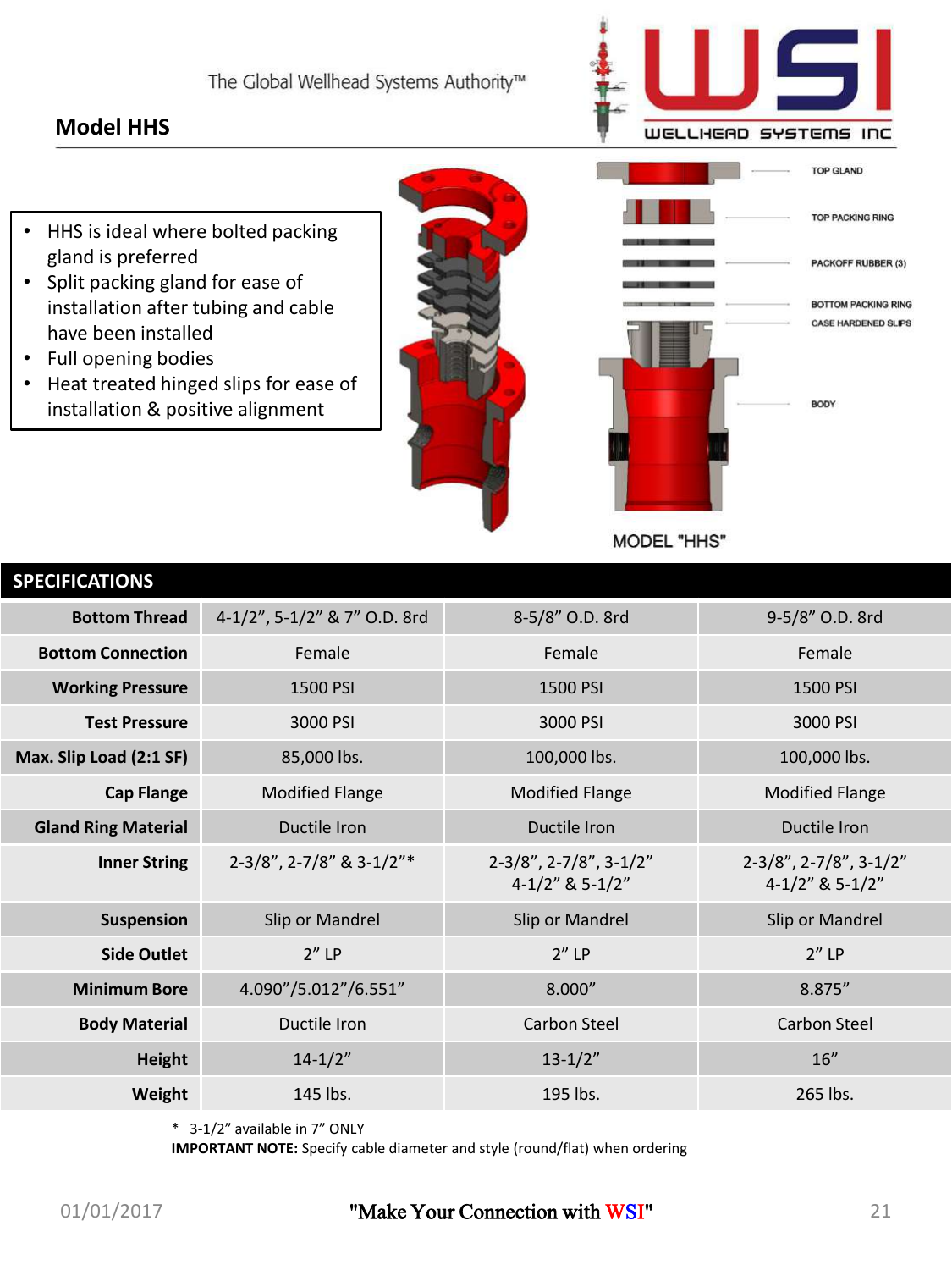### **Model HHS**



- HHS is ideal where bolted packing gland is preferred
- Split packing gland for ease of installation after tubing and cable have been installed
- Full opening bodies
- Heat treated hinged slips for ease of installation & positive alignment





**MODEL "HHS"** 

| <b>SPECIFICATIONS</b>      |                              |                                                       |                                                      |
|----------------------------|------------------------------|-------------------------------------------------------|------------------------------------------------------|
| <b>Bottom Thread</b>       | 4-1/2", 5-1/2" & 7" O.D. 8rd | 8-5/8" O.D. 8rd                                       | 9-5/8" O.D. 8rd                                      |
| <b>Bottom Connection</b>   | Female                       | Female                                                | Female                                               |
| <b>Working Pressure</b>    | 1500 PSI                     | 1500 PSI                                              | 1500 PSI                                             |
| <b>Test Pressure</b>       | 3000 PSI                     | 3000 PSI                                              | 3000 PSI                                             |
| Max. Slip Load (2:1 SF)    | 85,000 lbs.                  | 100,000 lbs.                                          | 100,000 lbs.                                         |
| <b>Cap Flange</b>          | <b>Modified Flange</b>       | <b>Modified Flange</b>                                | <b>Modified Flange</b>                               |
| <b>Gland Ring Material</b> | Ductile Iron                 | Ductile Iron                                          | Ductile Iron                                         |
| <b>Inner String</b>        | 2-3/8", 2-7/8" & 3-1/2"*     | $2-3/8$ ", $2-7/8$ ", $3-1/2$ "<br>$4-1/2$ " & 5-1/2" | $2-3/8$ ", $2-7/8$ ", $3-1/2$ "<br>$4-1/2"$ & 5-1/2" |
| <b>Suspension</b>          | Slip or Mandrel              | Slip or Mandrel                                       | Slip or Mandrel                                      |
| <b>Side Outlet</b>         | $2''$ LP                     | $2''$ LP                                              | $2''$ LP                                             |
| <b>Minimum Bore</b>        | 4.090"/5.012"/6.551"         | 8.000"                                                | 8.875"                                               |
| <b>Body Material</b>       | Ductile Iron                 | <b>Carbon Steel</b>                                   | <b>Carbon Steel</b>                                  |
| <b>Height</b>              | $14 - 1/2"$                  | $13 - 1/2"$                                           | 16"                                                  |
| Weight                     | 145 lbs.                     | 195 lbs.                                              | 265 lbs.                                             |
|                            |                              |                                                       |                                                      |

\* 3-1/2" available in 7" ONLY

**IMPORTANT NOTE:** Specify cable diameter and style (round/flat) when ordering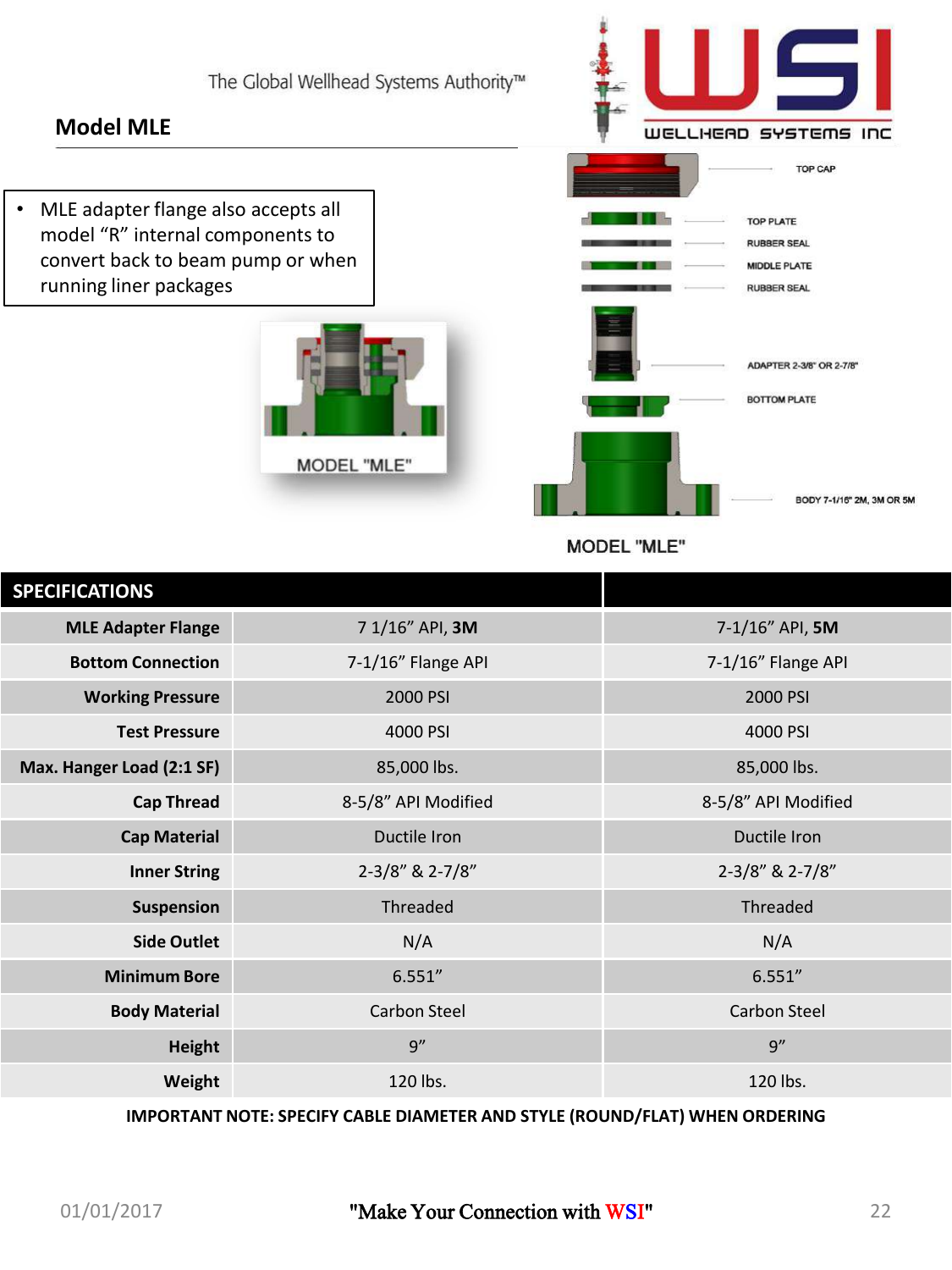### **Model MLE**

• MLE adapter flange also accepts all model "R" internal components to convert back to beam pump or when running liner packages





**MODEL "MLE"** 

| <b>SPECIFICATIONS</b>     |                     |                      |
|---------------------------|---------------------|----------------------|
| <b>MLE Adapter Flange</b> | 7 1/16" API, 3M     | $7 - 1/16''$ API, 5M |
| <b>Bottom Connection</b>  | 7-1/16" Flange API  | 7-1/16" Flange API   |
| <b>Working Pressure</b>   | 2000 PSI            | 2000 PSI             |
| <b>Test Pressure</b>      | 4000 PSI            | 4000 PSI             |
| Max. Hanger Load (2:1 SF) | 85,000 lbs.         | 85,000 lbs.          |
| <b>Cap Thread</b>         | 8-5/8" API Modified | 8-5/8" API Modified  |
| <b>Cap Material</b>       | Ductile Iron        | Ductile Iron         |
| <b>Inner String</b>       | 2-3/8" & 2-7/8"     | 2-3/8" & 2-7/8"      |
| <b>Suspension</b>         | Threaded            | Threaded             |
| <b>Side Outlet</b>        | N/A                 | N/A                  |
| <b>Minimum Bore</b>       | 6.551''             | 6.551''              |
| <b>Body Material</b>      | <b>Carbon Steel</b> | <b>Carbon Steel</b>  |
| <b>Height</b>             | q''                 | 9''                  |
| Weight                    | 120 lbs.            | 120 lbs.             |

**IMPORTANT NOTE: SPECIFY CABLE DIAMETER AND STYLE (ROUND/FLAT) WHEN ORDERING**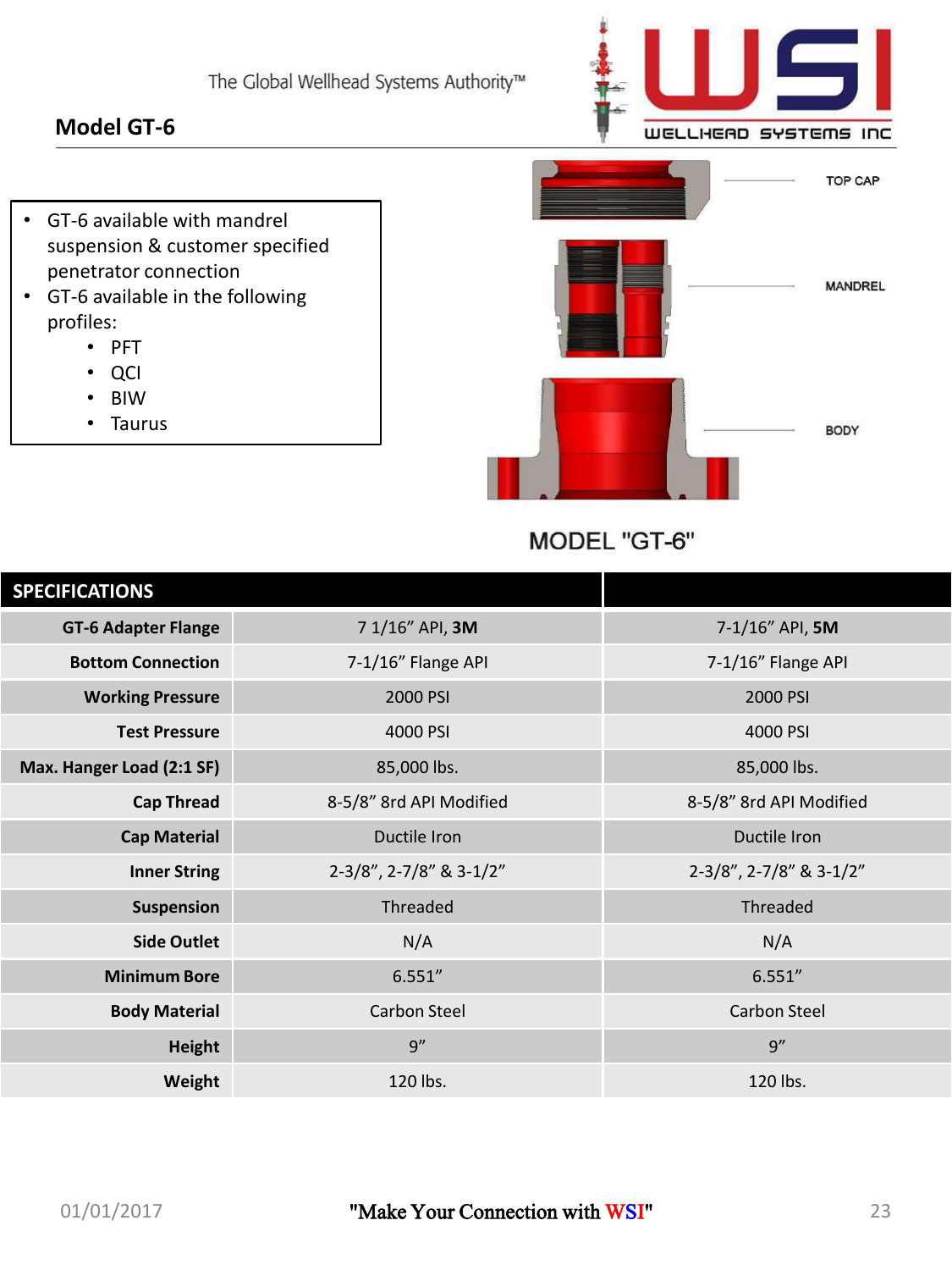### **Model GT-6**



- GT-6 available with mandrel suspension & customer specified penetrator connection
- GT-6 available in the following profiles:
	- PFT
	- QCI
	- BIW
	- Taurus



MODEL "GT-6"

| <b>SPECIFICATIONS</b>      |                         |                         |
|----------------------------|-------------------------|-------------------------|
| <b>GT-6 Adapter Flange</b> | 7 1/16" API, 3M         | 7-1/16" API, 5M         |
| <b>Bottom Connection</b>   | 7-1/16" Flange API      | 7-1/16" Flange API      |
| <b>Working Pressure</b>    | 2000 PSI                | 2000 PSI                |
| <b>Test Pressure</b>       | 4000 PSI                | 4000 PSI                |
| Max. Hanger Load (2:1 SF)  | 85,000 lbs.             | 85,000 lbs.             |
| <b>Cap Thread</b>          | 8-5/8" 8rd API Modified | 8-5/8" 8rd API Modified |
| <b>Cap Material</b>        | Ductile Iron            | Ductile Iron            |
| <b>Inner String</b>        | 2-3/8", 2-7/8" & 3-1/2" | 2-3/8", 2-7/8" & 3-1/2" |
| <b>Suspension</b>          | Threaded                | Threaded                |
| <b>Side Outlet</b>         | N/A                     | N/A                     |
| <b>Minimum Bore</b>        | 6.551''                 | 6.551''                 |
| <b>Body Material</b>       | <b>Carbon Steel</b>     | <b>Carbon Steel</b>     |
| <b>Height</b>              | q''                     | q''                     |
| Weight                     | 120 lbs.                | 120 lbs.                |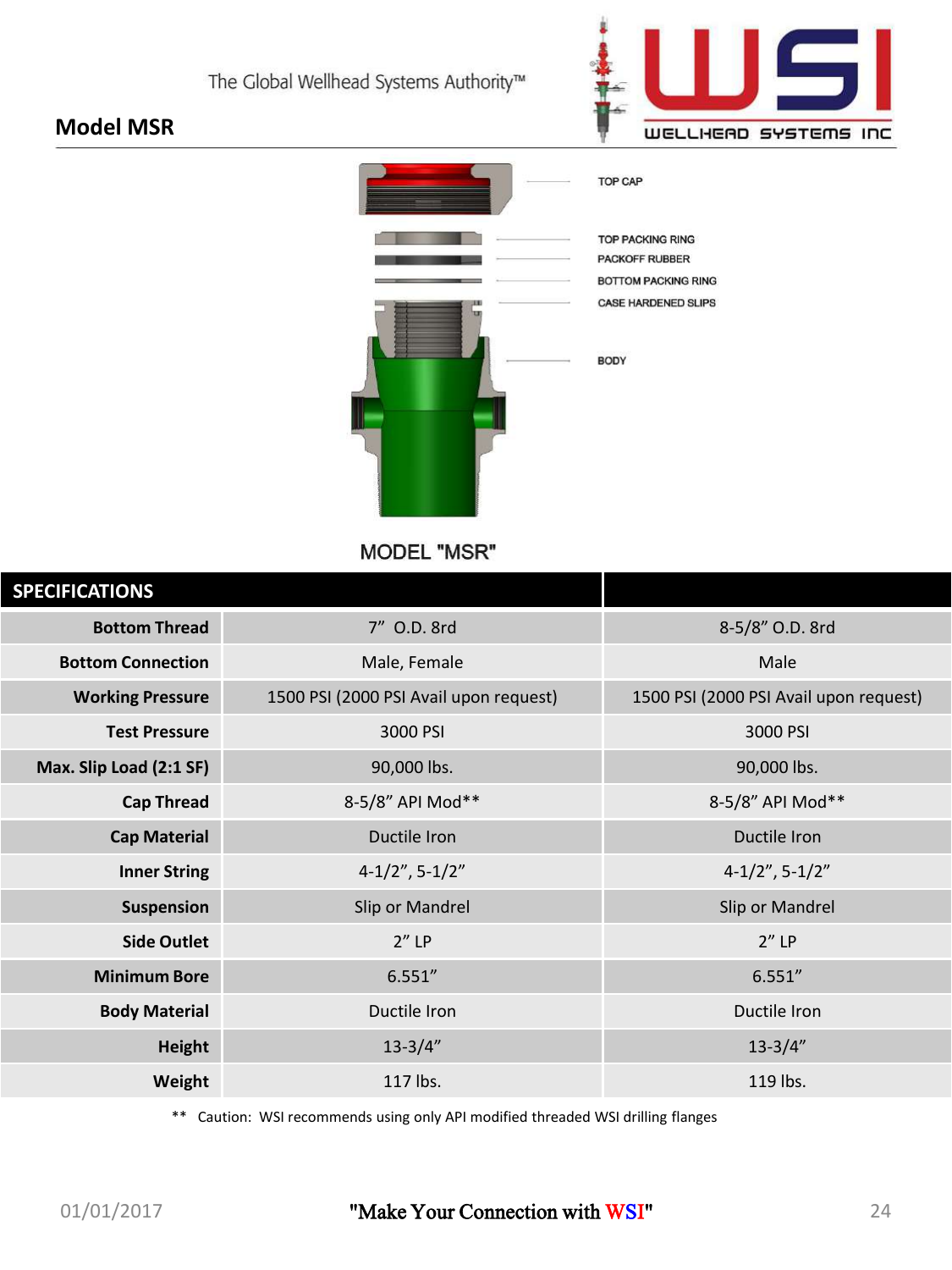

### **Model MSR**



**MODEL "MSR"** 

| <b>SPECIFICATIONS</b>    |                                        |                                        |
|--------------------------|----------------------------------------|----------------------------------------|
| <b>Bottom Thread</b>     | 7" O.D. 8rd                            | 8-5/8" O.D. 8rd                        |
| <b>Bottom Connection</b> | Male, Female                           | Male                                   |
| <b>Working Pressure</b>  | 1500 PSI (2000 PSI Avail upon request) | 1500 PSI (2000 PSI Avail upon request) |
| <b>Test Pressure</b>     | 3000 PSI                               | 3000 PSI                               |
| Max. Slip Load (2:1 SF)  | 90,000 lbs.                            | 90,000 lbs.                            |
| <b>Cap Thread</b>        | 8-5/8" API Mod**                       | 8-5/8" API Mod**                       |
| <b>Cap Material</b>      | Ductile Iron                           | Ductile Iron                           |
| <b>Inner String</b>      | $4-1/2$ ", 5-1/2"                      | $4-1/2$ ", 5-1/2"                      |
| <b>Suspension</b>        | Slip or Mandrel                        | Slip or Mandrel                        |
| <b>Side Outlet</b>       | $2''$ LP                               | $2''$ LP                               |
| <b>Minimum Bore</b>      | 6.551''                                | 6.551''                                |
| <b>Body Material</b>     | Ductile Iron                           | Ductile Iron                           |
| <b>Height</b>            | $13 - 3/4"$                            | $13 - 3/4"$                            |
| Weight                   | 117 lbs.                               | 119 lbs.                               |
|                          |                                        |                                        |

\*\* Caution: WSI recommends using only API modified threaded WSI drilling flanges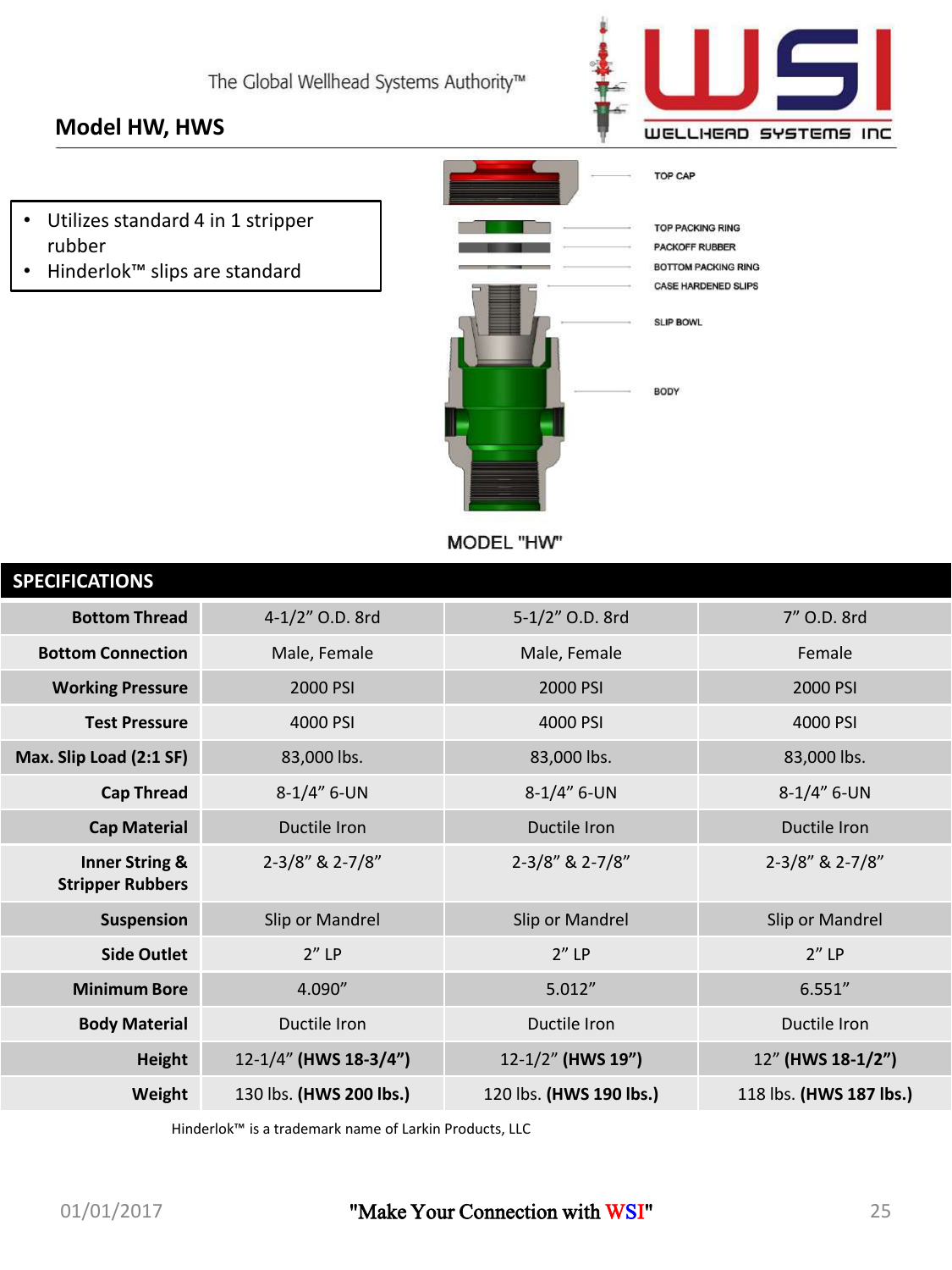### **Model HW, HWS**



- Utilizes standard 4 in 1 stripper rubber
- Hinderlok™ slips are standard



MODEL "HW"

| <b>SPECIFICATIONS</b>                                |                         |                         |                         |
|------------------------------------------------------|-------------------------|-------------------------|-------------------------|
| <b>Bottom Thread</b>                                 | 4-1/2" O.D. 8rd         | 5-1/2" O.D. 8rd         | 7" O.D. 8rd             |
| <b>Bottom Connection</b>                             | Male, Female            | Male, Female            | Female                  |
| <b>Working Pressure</b>                              | 2000 PSI                | 2000 PSI                | 2000 PSI                |
| <b>Test Pressure</b>                                 | 4000 PSI                | 4000 PSI                | 4000 PSI                |
| Max. Slip Load (2:1 SF)                              | 83,000 lbs.             | 83,000 lbs.             | 83,000 lbs.             |
| <b>Cap Thread</b>                                    | $8-1/4"$ 6-UN           | $8-1/4''$ 6-UN          | $8-1/4"$ 6-UN           |
| <b>Cap Material</b>                                  | Ductile Iron            | Ductile Iron            | Ductile Iron            |
| <b>Inner String &amp;</b><br><b>Stripper Rubbers</b> | 2-3/8" & 2-7/8"         | 2-3/8" & 2-7/8"         | 2-3/8" & 2-7/8"         |
| <b>Suspension</b>                                    | Slip or Mandrel         | Slip or Mandrel         | Slip or Mandrel         |
| <b>Side Outlet</b>                                   | $2''$ LP                | $2''$ LP                | $2''$ LP                |
| <b>Minimum Bore</b>                                  | 4.090"                  | 5.012"                  | 6.551''                 |
| <b>Body Material</b>                                 | Ductile Iron            | Ductile Iron            | Ductile Iron            |
| <b>Height</b>                                        | 12-1/4" (HWS 18-3/4")   | 12-1/2" (HWS 19")       | 12" (HWS 18-1/2")       |
| Weight                                               | 130 lbs. (HWS 200 lbs.) | 120 lbs. (HWS 190 lbs.) | 118 lbs. (HWS 187 lbs.) |
|                                                      |                         |                         |                         |

Hinderlok™ is a trademark name of Larkin Products, LLC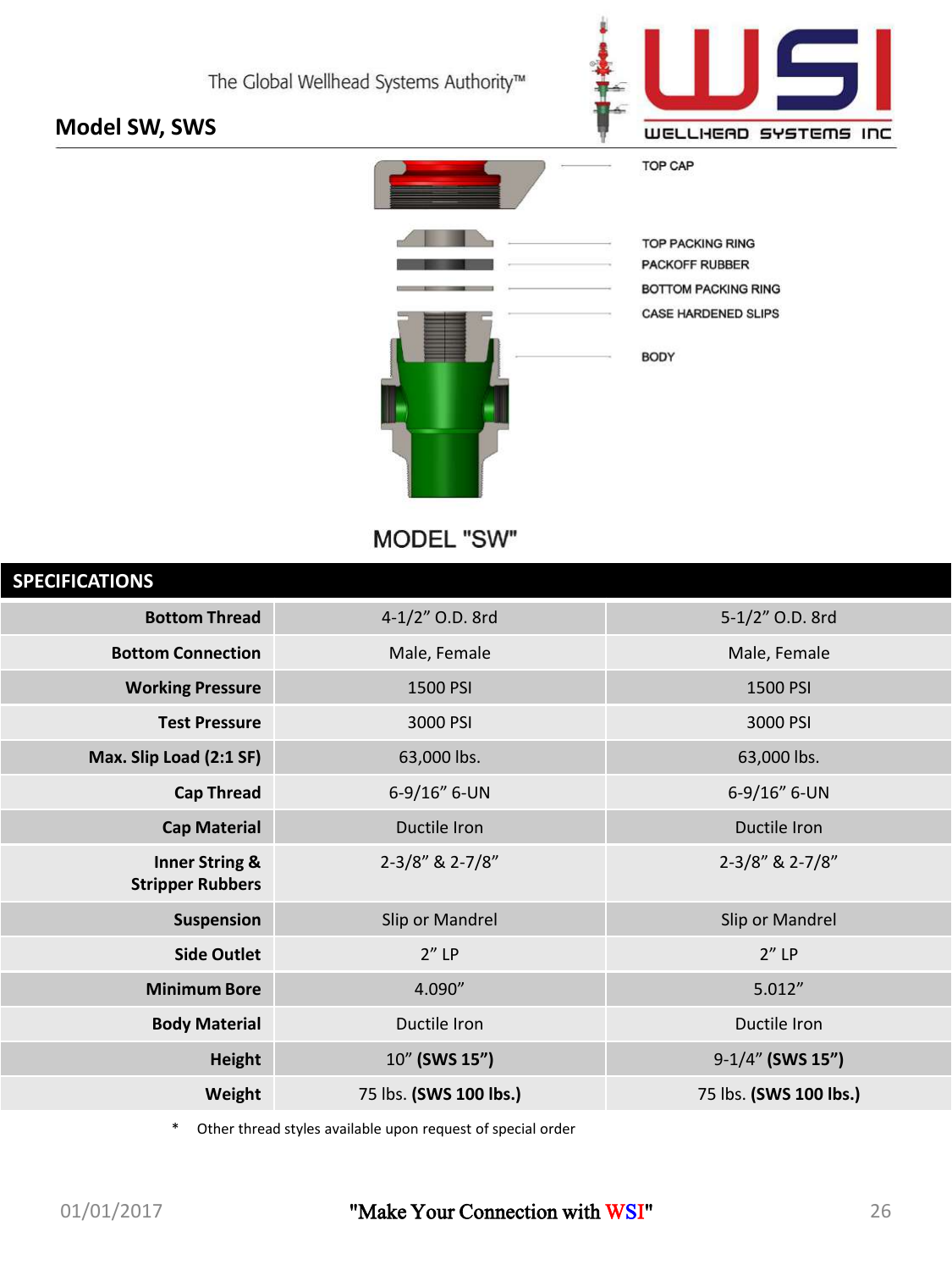### **Model SW, SWS**



**TOP CAP** 



**TOP PACKING RING** PACKOFF RUBBER **BOTTOM PACKING RING** CASE HARDENED SLIPS

**BODY** 

### MODEL "SW"

| 4-1/2" O.D. 8rd        | 5-1/2" O.D. 8rd        |
|------------------------|------------------------|
| Male, Female           | Male, Female           |
| 1500 PSI               | 1500 PSI               |
| 3000 PSI               | 3000 PSI               |
| 63,000 lbs.            | 63,000 lbs.            |
| 6-9/16" 6-UN           | 6-9/16" 6-UN           |
| Ductile Iron           | Ductile Iron           |
| 2-3/8" & 2-7/8"        | 2-3/8" & 2-7/8"        |
| Slip or Mandrel        | Slip or Mandrel        |
| $2''$ LP               | $2''$ LP               |
| 4.090"                 | 5.012''                |
| Ductile Iron           | Ductile Iron           |
| 10" (SWS 15")          | 9-1/4" (SWS 15")       |
| 75 lbs. (SWS 100 lbs.) | 75 lbs. (SWS 100 lbs.) |
|                        |                        |

\* Other thread styles available upon request of special order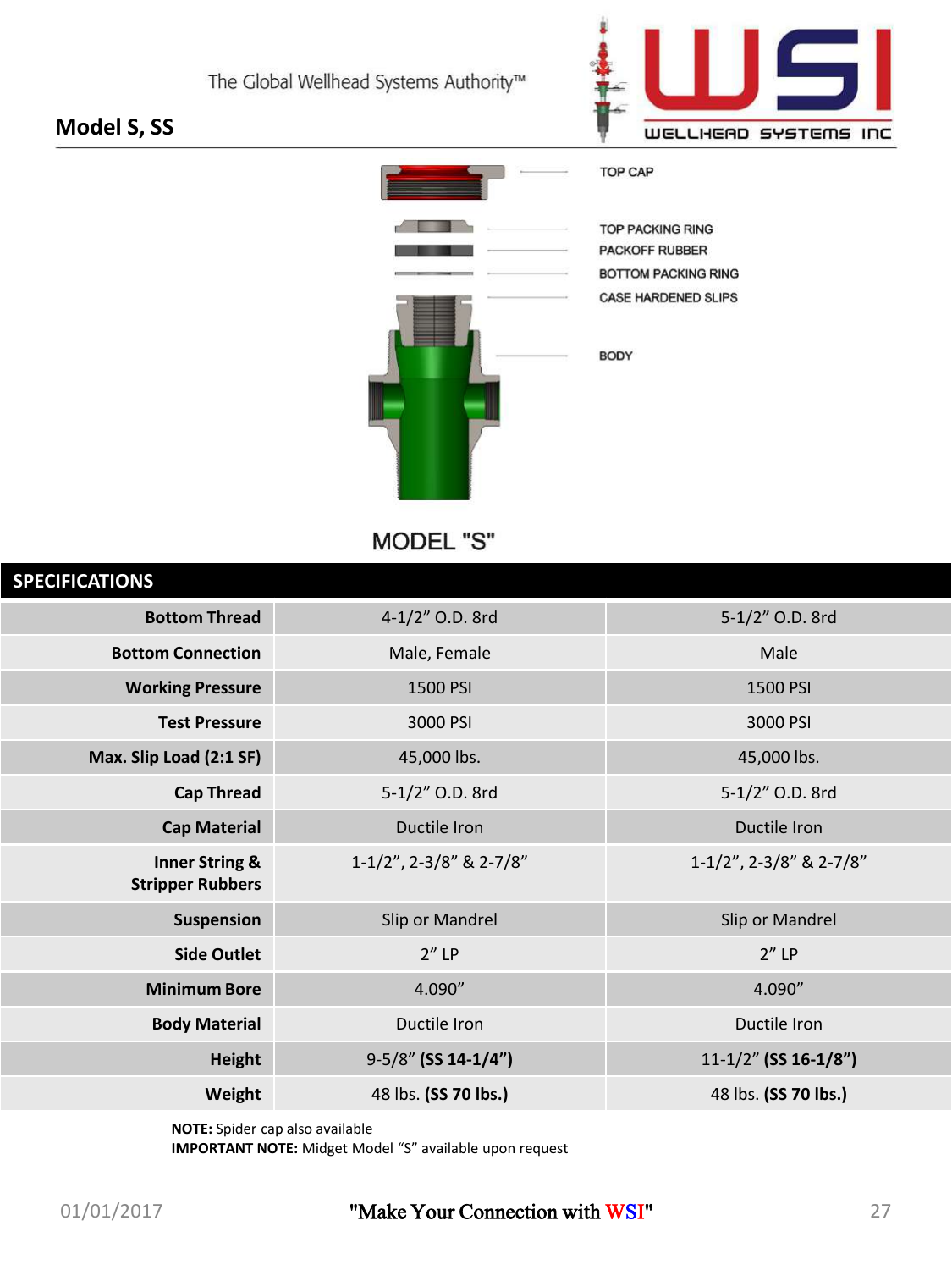

### **Model S, SS**



MODEL "S"

| <b>SPECIFICATIONS</b>                                |                         |                           |
|------------------------------------------------------|-------------------------|---------------------------|
| <b>Bottom Thread</b>                                 | 4-1/2" O.D. 8rd         | 5-1/2" O.D. 8rd           |
| <b>Bottom Connection</b>                             | Male, Female            | Male                      |
| <b>Working Pressure</b>                              | 1500 PSI                | 1500 PSI                  |
| <b>Test Pressure</b>                                 | 3000 PSI                | 3000 PSI                  |
| Max. Slip Load (2:1 SF)                              | 45,000 lbs.             | 45,000 lbs.               |
| <b>Cap Thread</b>                                    | 5-1/2" O.D. 8rd         | 5-1/2" O.D. 8rd           |
| <b>Cap Material</b>                                  | Ductile Iron            | Ductile Iron              |
| <b>Inner String &amp;</b><br><b>Stripper Rubbers</b> | 1-1/2", 2-3/8" & 2-7/8" | 1-1/2", 2-3/8" & 2-7/8"   |
| Suspension                                           | Slip or Mandrel         | Slip or Mandrel           |
| <b>Side Outlet</b>                                   | $2''$ LP                | $2''$ LP                  |
| <b>Minimum Bore</b>                                  | 4.090"                  | 4.090"                    |
| <b>Body Material</b>                                 | Ductile Iron            | Ductile Iron              |
| Height                                               | 9-5/8" (SS 14-1/4")     | $11 - 1/2$ " (SS 16-1/8") |
| Weight                                               | 48 lbs. (SS 70 lbs.)    | 48 lbs. (SS 70 lbs.)      |

**NOTE:** Spider cap also available

**IMPORTANT NOTE:** Midget Model "S" available upon request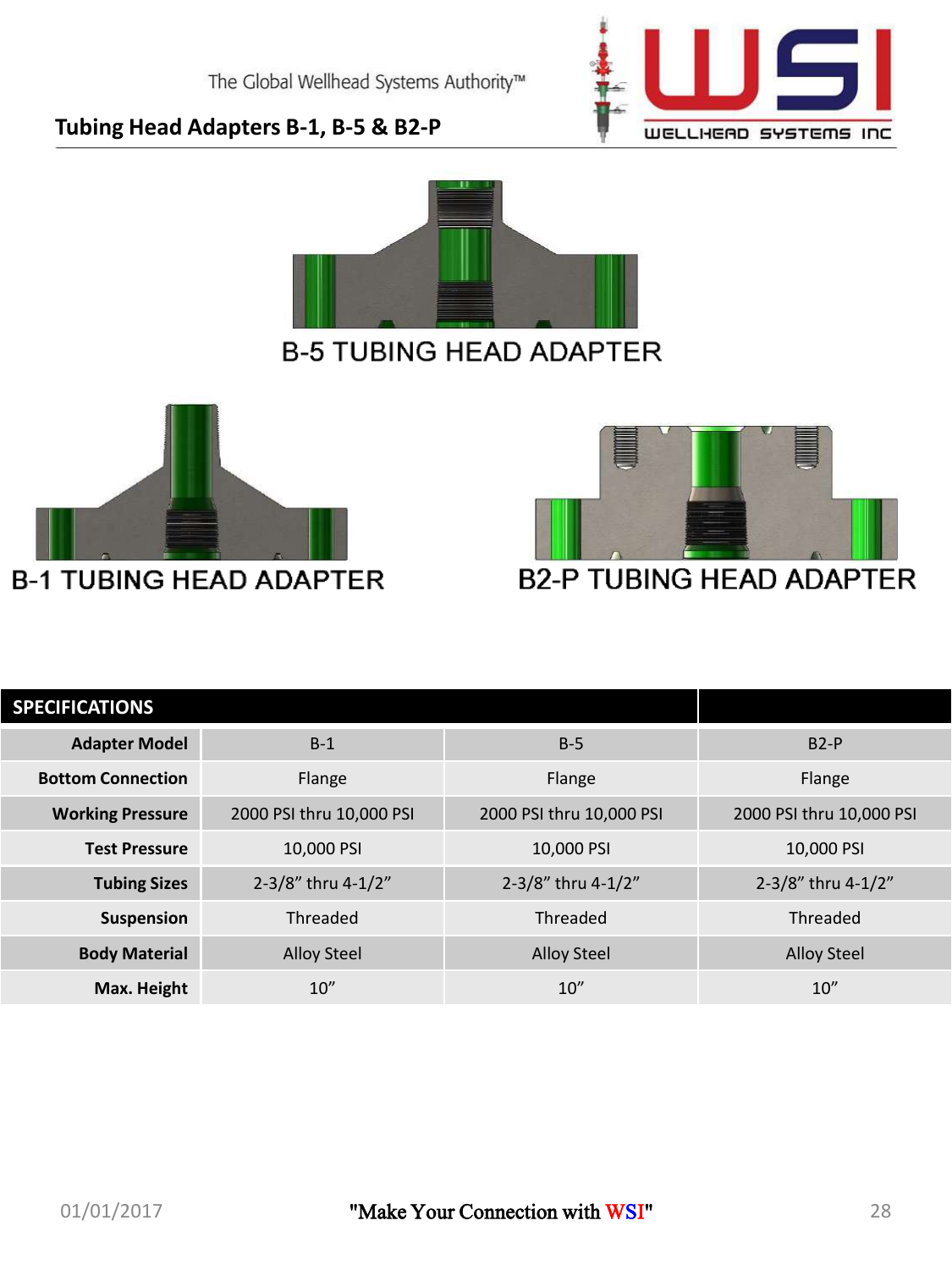

### **Tubing Head Adapters B-1, B-5 & B2-P**







### **B2-P TUBING HEAD ADAPTER**

| <b>SPECIFICATIONS</b>    |                          |                          |                          |
|--------------------------|--------------------------|--------------------------|--------------------------|
| <b>Adapter Model</b>     | $B-1$                    | $B-5$                    | $B2-P$                   |
| <b>Bottom Connection</b> | Flange                   | Flange                   | Flange                   |
| <b>Working Pressure</b>  | 2000 PSI thru 10,000 PSI | 2000 PSI thru 10,000 PSI | 2000 PSI thru 10,000 PSI |
| <b>Test Pressure</b>     | 10.000 PSI               | 10.000 PSI               | 10.000 PSI               |
| <b>Tubing Sizes</b>      | 2-3/8" thru 4-1/2"       | 2-3/8" thru 4-1/2"       | 2-3/8" thru 4-1/2"       |
| Suspension               | Threaded                 | Threaded                 | Threaded                 |
| <b>Body Material</b>     | <b>Alloy Steel</b>       | <b>Alloy Steel</b>       | <b>Alloy Steel</b>       |
| Max. Height              | 10''                     | 10''                     | 10''                     |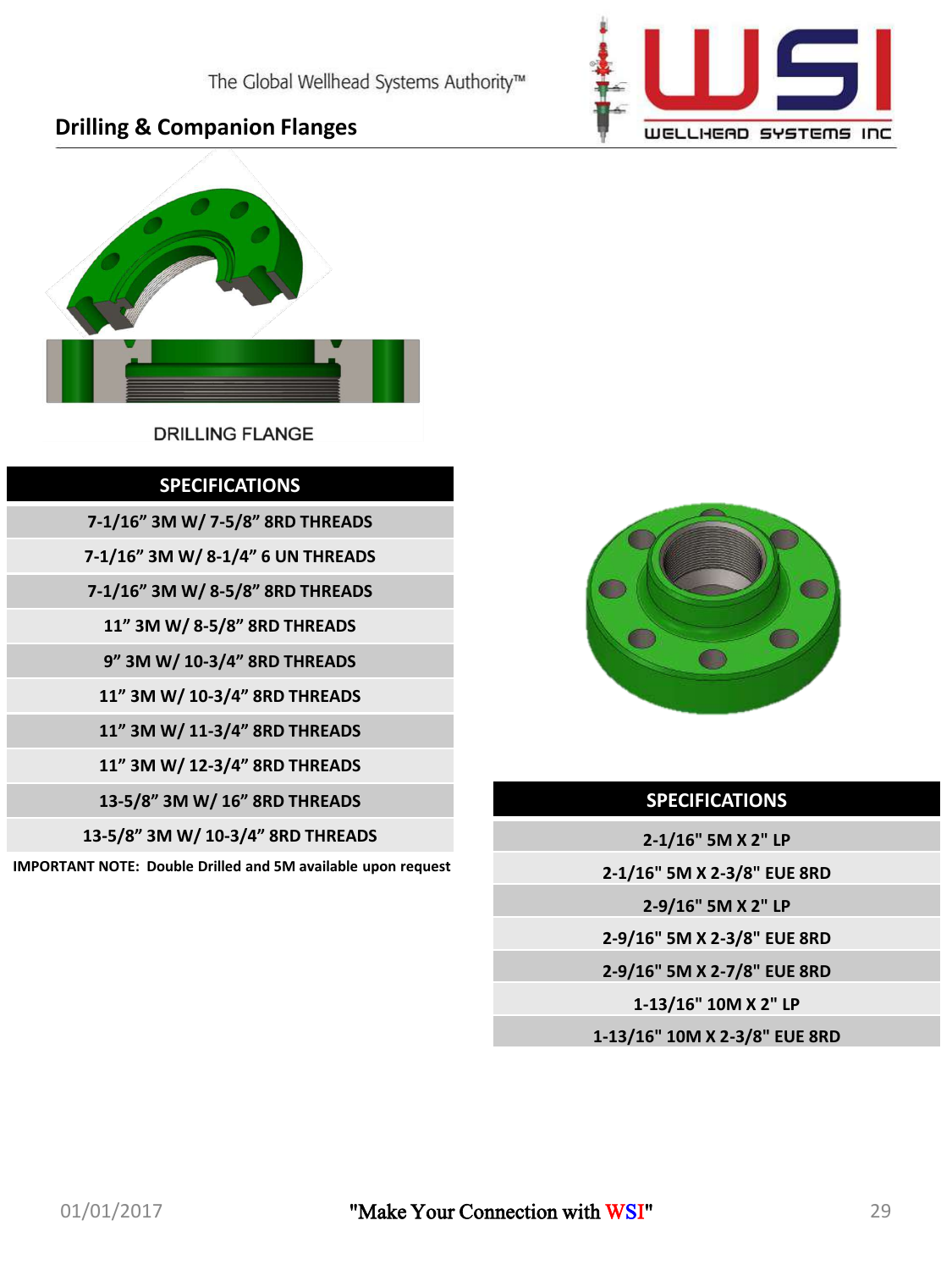

### **Drilling & Companion Flanges**



### **DRILLING FLANGE**

### **SPECIFICATIONS**

**7-1/16" 3M W/ 7-5/8" 8RD THREADS**

**7-1/16" 3M W/ 8-1/4" 6 UN THREADS**

**7-1/16" 3M W/ 8-5/8" 8RD THREADS**

**11" 3M W/ 8-5/8" 8RD THREADS**

**9" 3M W/ 10-3/4" 8RD THREADS**

**11" 3M W/ 10-3/4" 8RD THREADS**

**11" 3M W/ 11-3/4" 8RD THREADS**

**11" 3M W/ 12-3/4" 8RD THREADS**

**13-5/8" 3M W/ 16" 8RD THREADS**

**13-5/8" 3M W/ 10-3/4" 8RD THREADS**

**IMPORTANT NOTE: Double Drilled and 5M available upon request** 



### **SPECIFICATIONS**

**2-1/16" 5M X 2" LP**

**2-1/16" 5M X 2-3/8" EUE 8RD**

**2-9/16" 5M X 2" LP**

**2-9/16" 5M X 2-3/8" EUE 8RD**

**2-9/16" 5M X 2-7/8" EUE 8RD**

**1-13/16" 10M X 2" LP**

**1-13/16" 10M X 2-3/8" EUE 8RD**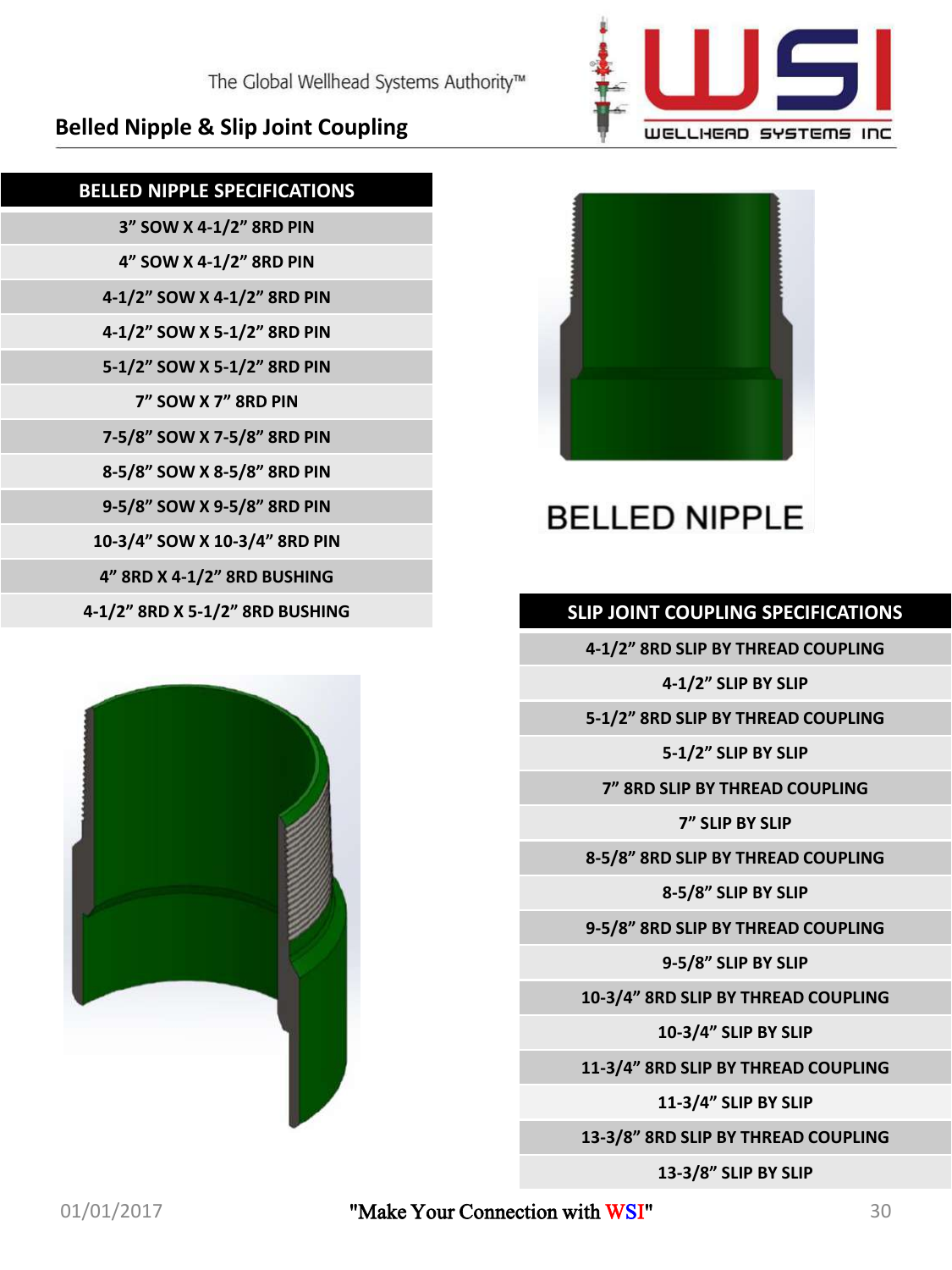**Belled Nipple & Slip Joint Coupling**

The Global Wellhead Systems Authority™

**BELLED NIPPLE SPECIFICATIONS**

**3" SOW X 4-1/2" 8RD PIN**

**4" SOW X 4-1/2" 8RD PIN 4-1/2" SOW X 4-1/2" 8RD PIN 4-1/2" SOW X 5-1/2" 8RD PIN**

**5-1/2" SOW X 5-1/2" 8RD PIN 7" SOW X 7" 8RD PIN**

**7-5/8" SOW X 7-5/8" 8RD PIN 8-5/8" SOW X 8-5/8" 8RD PIN**

**9-5/8" SOW X 9-5/8" 8RD PIN 10-3/4" SOW X 10-3/4" 8RD PIN 4" 8RD X 4-1/2" 8RD BUSHING**

### 01/01/2017 **Wake Your Connection with WSI"** 30

**4-1/2" 8RD X 5-1/2" 8RD BUSHING SLIP JOINT COUPLING SPECIFICATIONS**

**13-3/8" SLIP BY SLIP**

**13-3/8" 8RD SLIP BY THREAD COUPLING**

**11-3/4" SLIP BY SLIP**

**11-3/4" 8RD SLIP BY THREAD COUPLING**

**10-3/4" SLIP BY SLIP**

**10-3/4" 8RD SLIP BY THREAD COUPLING**

**9-5/8" SLIP BY SLIP**

**9-5/8" 8RD SLIP BY THREAD COUPLING**

**8-5/8" SLIP BY SLIP**

**7" SLIP BY SLIP 8-5/8" 8RD SLIP BY THREAD COUPLING**

**4-1/2" 8RD SLIP BY THREAD COUPLING 4-1/2" SLIP BY SLIP**

**BELLED NIPPLE** 

WELLHEAD SYSTEMS INC

**5-1/2" 8RD SLIP BY THREAD COUPLING 5-1/2" SLIP BY SLIP 7" 8RD SLIP BY THREAD COUPLING**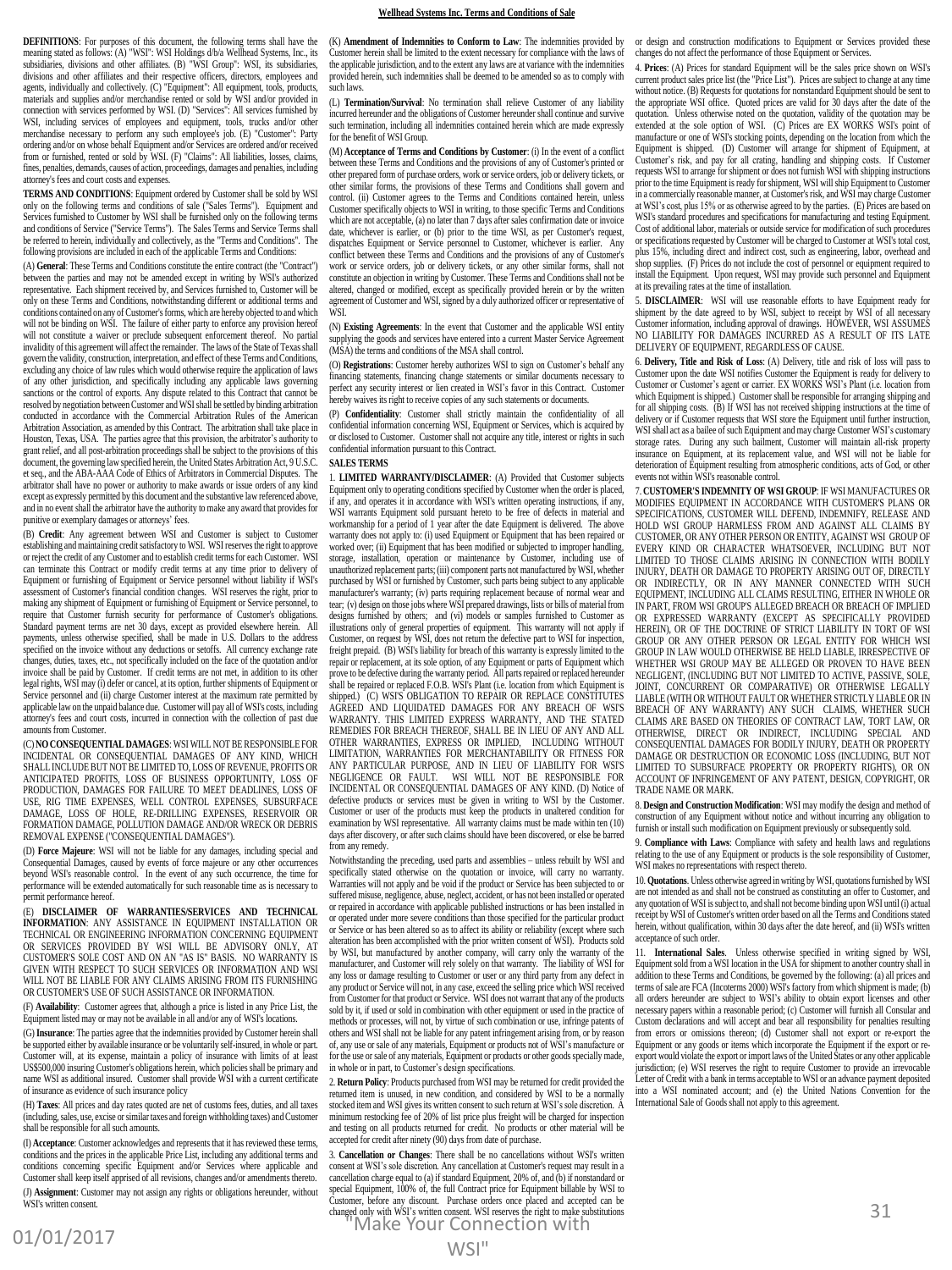#### **Wellhead Systems Inc. Terms and Conditions of Sale**

**DEFINITIONS**: For purposes of this document, the following terms shall have the meaning stated as follows: (A) "WSI": WSI Holdings d/b/a Wellhead Systems, Inc., its subsidiaries, divisions and other affiliates. (B) "WSI Group": WSI, its subsidiaries, divisions and other affiliates and their respective officers, directors, employees and agents, individually and collectively. (C) "Equipment": All equipment, tools, products, materials and supplies and/or merchandise rented or sold by WSI and/or provided in connection with services performed by WSI. (D) "Services": All services furnished by WSI, including services of employees and equipment, tools, trucks and/or other merchandise necessary to perform any such employee's job. (E) "Customer": Party ordering and/or on whose behalf Equipment and/or Services are ordered and/or received from or furnished, rented or sold by WSI. (F) "Claims": All liabilities, losses, claims, fines, penalties, demands, causes of action, proceedings, damages and penalties, including attorney's fees and court costs and expenses.

**TERMS AND CONDITIONS**: Equipment ordered by Customer shall be sold by WSI only on the following terms and conditions of sale ("Sales Terms"). Equipment and Services furnished to Customer by WSI shall be furnished only on the following terms and conditions of Service ("Service Terms"). The Sales Terms and Service Terms shall be referred to herein, individually and collectively, as the "Terms and Conditions". The following provisions are included in each of the applicable Terms and Conditions:

(A) **General**: These Terms and Conditions constitute the entire contract (the "Contract") between the parties and may not be amended except in writing by WSI's authorized representative. Each shipment received by, and Services furnished to, Customer will be only on these Terms and Conditions, notwithstanding different or additional terms and conditions contained on any of Customer's forms, which are hereby objected to and which will not be binding on WSI. The failure of either party to enforce any provision hereof will not constitute a waiver or preclude subsequent enforcement thereof. No partial invalidity of this agreement will affect the remainder. The laws of the State of Texas shall govern the validity, construction, interpretation, and effect of these Terms and Conditions, excluding any choice of law rules which would otherwise require the application of laws of any other jurisdiction, and specifically including any applicable laws governing sanctions or the control of exports. Any dispute related to this Contract that cannot be resolved by negotiation between Customer and WSIshall be settled by binding arbitration conducted in accordance with the Commercial Arbitration Rules of the American Arbitration Association, as amended by this Contract. The arbitration shall take place in Houston, Texas, USA. The parties agree that this provision, the arbitrator's authority to grant relief, and all post-arbitration proceedings shall be subject to the provisions of this document, the governing law specified herein, the United States Arbitration Act, 9 U.S.C. et seq., and the ABA-AAA Code of Ethics of Arbitrators in Commercial Disputes. The arbitrator shall have no power or authority to make awards or issue orders of any kind except as expressly permitted by this document and the substantive law referenced above, and in no event shall the arbitrator have the authority to make any award that provides for punitive or exemplary damages or attorneys' fees.

(B) **Credit**: Any agreement between WSI and Customer is subject to Customer establishing and maintaining credit satisfactory to WSI. WSI reserves the right to approve or reject the credit of any Customer and to establish credit terms for each Customer. WSI can terminate this Contract or modify credit terms at any time prior to delivery of Equipment or furnishing of Equipment or Service personnel without liability if WSI's assessment of Customer's financial condition changes. WSI reserves the right, prior to making any shipment of Equipment or furnishing of Equipment or Service personnel, to require that Customer furnish security for performance of Customer's obligations. Standard payment terms are net 30 days, except as provided elsewhere herein. All payments, unless otherwise specified, shall be made in U.S. Dollars to the address specified on the invoice without any deductions or setoffs. All currency exchange rate changes, duties, taxes, etc., not specifically included on the face of the quotation and/or invoice shall be paid by Customer. If credit terms are not met, in addition to its other legal rights, WSI may (i) defer or cancel, at its option, further shipments of Equipment or Service personnel and (ii) charge Customer interest at the maximum rate permitted by applicable law on the unpaid balance due. Customer will pay all of WSI's costs, including attorney's fees and court costs, incurred in connection with the collection of past due amounts from Customer.

(C) **NO CONSEQUENTIAL DAMAGES**: WSI WILL NOT BE RESPONSIBLE FOR INCIDENTAL OR CONSEQUENTIAL DAMAGES OF ANY KIND, WHICH SHALL INCLUDE BUT NOT BE LIMITED TO, LOSS OF REVENUE, PROFITS OR ANTICIPATED PROFITS, LOSS OF BUSINESS OPPORTUNITY, LOSS OF PRODUCTION, DAMAGES FOR FAILURE TO MEET DEADLINES, LOSS OF USE, RIG TIME EXPENSES, WELL CONTROL EXPENSES, SUBSURFACE DAMAGE, LOSS OF HOLE, RE-DRILLING EXPENSES, RESERVOIR OR FORMATION DAMAGE, POLLUTION DAMAGE AND/OR WRECK OR DEBRIS REMOVAL EXPENSE ("CONSEQUENTIAL DAMAGES").

(D) **Force Majeure**: WSI will not be liable for any damages, including special and Consequential Damages, caused by events of force majeure or any other occurrences beyond WSI's reasonable control. In the event of any such occurrence, the time for performance will be extended automatically for such reasonable time as is necessary to permit performance hereof.

(E) **DISCLAIMER OF WARRANTIES/SERVICES AND TECHNICAL INFORMATION**: ANY ASSISTANCE IN EQUIPMENT INSTALLATION OR TECHNICAL OR ENGINEERING INFORMATION CONCERNING EQUIPMENT OR SERVICES PROVIDED BY WSI WILL BE ADVISORY ONLY, AT CUSTOMER'S SOLE COST AND ON AN "AS IS" BASIS. NO WARRANTY IS GIVEN WITH RESPECT TO SUCH SERVICES OR INFORMATION AND WSI WILL NOT BE LIABLE FOR ANY CLAIMS ARISING FROM ITS FURNISHING OR CUSTOMER'S USE OF SUCH ASSISTANCE OR INFORMATION.

(F) **Availability**: Customer agrees that, although a price is listed in any Price List, the Equipment listed may or may not be available in all and/or any of WSI's locations.

(G) **Insurance**: The parties agree that the indemnities provided by Customer herein shall be supported either by available insurance or be voluntarily self-insured, in whole or part. Customer will, at its expense, maintain a policy of insurance with limits of at least US\$500,000 insuring Customer's obligations herein, which policies shall be primary and name WSI as additional insured. Customer shall provide WSI with a current certificate of insurance as evidence of such insurance policy

(H) **Taxes**: All prices and day rates quoted are net of customs fees, duties, and all taxes (including, sales, use, excise or similar taxes and foreign withholding taxes) and Customer shall be responsible for all such amounts.

(I) **Acceptance**: Customer acknowledges and represents that it has reviewed these terms, conditions and the prices in the applicable Price List, including any additional terms and conditions concerning specific Equipment and/or Services where applicable and Customer shall keep itself apprised of all revisions, changes and/or amendments thereto. (J) **Assignment**: Customer may not assign any rights or obligations hereunder, without WSI's written consent.

(K) **Amendment of Indemnities to Conform to Law**: The indemnities provided by Customer herein shall be limited to the extent necessary for compliance with the laws of the applicable jurisdiction, and to the extent any laws are at variance with the indemnities provided herein, such indemnities shall be deemed to be amended so as to comply with .<br>such laws.

(L) **Termination/Survival**: No termination shall relieve Customer of any liability incurred hereunder and the obligations of Customer hereunder shall continue and survive such termination, including all indemnities contained herein which are made expressly for the benefit of WSI Group.

(M) **Acceptance of Terms and Conditions by Customer**: (i) In the event of a conflict between these Terms and Conditions and the provisions of any of Customer's printed or other prepared form of purchase orders, work or service orders, job or delivery tickets, or other similar forms, the provisions of these Terms and Conditions shall govern and control. (ii) Customer agrees to the Terms and Conditions contained herein, unless Customer specifically objects to WSI in writing, to those specific Terms and Conditions which are not acceptable, (a) no later than 7 days after sales confirmation date or invoice date, whichever is earlier, or (b) prior to the time WSI, as per Customer's request, dispatches Equipment or Service personnel to Customer, whichever is earlier. Any conflict between these Terms and Conditions and the provisions of any of Customer's work or service orders, job or delivery tickets, or any other similar forms, shall not constitute an objection in writing by Customer. These Terms and Conditions shall not be altered, changed or modified, except as specifically provided herein or by the written agreement of Customer and WSI, signed by a duly authorized officer or representative of WSI.

(N) **Existing Agreements**: In the event that Customer and the applicable WSI entity supplying the goods and services have entered into a current Master Service Agreement (MSA) the terms and conditions of the MSA shall control.

(O) **Registrations**: Customer hereby authorizes WSI to sign on Customer's behalf any final statements, financing change statements or similar documents necessary to perfect any security interest or lien created in WSI's favor in this Contract. Customer hereby waives its right to receive copies of any such statements or documents.

(P) **Confidentiality**: Customer shall strictly maintain the confidentiality of all confidential information concerning WSI, Equipment or Services, which is acquired by or disclosed to Customer. Customer shall not acquire any title, interest or rights in such confidential information pursuant to this Contract.

#### **SALES TERMS**

1. **LIMITED WARRANTY/DISCLAIMER**: (A) Provided that Customer subjects Equipment only to operating conditions specified by Customer when the order is placed, if any, and operates it in accordance with WSI's written operating instructions, if any, WSI warrants Equipment sold pursuant hereto to be free of defects in material and workmanship for a period of 1 year after the date Equipment is delivered. The above warranty does not apply to: (i) used Equipment or Equipment that has been repaired or worked over; (ii) Equipment that has been modified or subjected to improper handling, storage, installation, operation or maintenance by Customer, including use of unauthorized replacement parts; (iii) component parts not manufactured by WSI, whether purchased by WSI or furnished by Customer, such parts being subject to any applicable manufacturer's warranty; (iv) parts requiring replacement because of normal wear and tear; (v) design on those jobs where WSI prepared drawings, lists or bills of material from designs furnished by others; and (vi) models or samples furnished to Customer as illustrations only of general properties of equipment. This warranty will not apply if Customer, on request by WSI, does not return the defective part to WSI for inspection, freight prepaid. (B) WSI's liability for breach of this warranty is expressly limited to the repair or replacement, at its sole option, of any Equipment or parts of Equipment which prove to be defective during the warranty period. All parts repaired or replaced hereunder<br>shall be repaired or replaced F.O.B. WSI's Plant (i.e. location from which Equipment is<br>shipped.) (C) WSI'S OBLIGATION TO REPAIR OR AGREED AND LIQUIDATED DAMAGES FOR ANY BREACH OF WSI'S WARRANTY. THIS LIMITED EXPRESS WARRANTY, AND THE STATED REMEDIES FOR BREACH THEREOF, SHALL BE IN LIEU OF ANY AND ALL OTHER WARRANTIES, EXPRESS OR IMPLIED, INCLUDING WITHOUT LIMITATION, WARRANTIES FOR MERCHANTABILITY OR FITNESS FOR ANY PARTICULAR PURPOSE, AND IN LIEU OF LIABILITY FOR WSI'S NEGLIGENCE OR FAULT. WSI WILL NOT BE RESPONSIBLE FOR INCIDENTAL OR CONSEQUENTIAL DAMAGES OF ANY KIND. (D) Notice of defective products or services must be given in writing to WSI by the Customer. Customer or user of the products must keep the products in unaltered condition for examination by WSI representative. All warranty claims must be made within ten (10) days after discovery, or after such claims should have been discovered, or else be barred from any remedy

Notwithstanding the preceding, used parts and assemblies – unless rebuilt by WSI and specifically stated otherwise on the quotation or invoice, will carry no warranty. Warranties will not apply and be void if the product or Service has been subjected to or suffered misuse, negligence, abuse, neglect, accident, or has not been installed or operated or repaired in accordance with applicable published instructions or has been installed in or operated under more severe conditions than those specified for the particular product or Service or has been altered so as to affect its ability or reliability (except where such alteration has been accomplished with the prior written consent of WSI). Products sold by WSI, but manufactured by another company, will carry only the warranty of the ufacturer, and Customer will rely solely on that warranty. The liability of WSI for any loss or damage resulting to Customer or user or any third party from any defect in any product or Service will not, in any case, exceed the selling price which WSI received from Customer for that product or Service. WSI does not warrant that any of the products sold by it, if used or sold in combination with other equipment or used in the practice of methods or processes, will not, by virtue of such combination or use, infringe patents of others and WSI shall not be liable for any patent infringement arising from, or by reason of, any use or sale of any materials, Equipment or products not of WSI's manufacture or for the use or sale of any materials, Equipment or products or other goods specially made, in whole or in part, to Customer's design specifications.

2. **Return Policy**: Products purchased from WSI may be returned for credit provided the returned item is unused, in new condition, and considered by WSI to be a normally stocked item and WSI gives its written consent to such return at WSI's sole discretion. A minimum restocking fee of 20% of list price plus freight will be charged for inspection and testing on all products returned for credit. No products or other material will be accepted for credit after ninety (90) days from date of purchase.

3. **Cancellation or Changes**: There shall be no cancellations without WSI's written consent at WSI's sole discretion. Any cancellation at Customer's request may result in a cancellation charge equal to (a) if standard Equipment, 20% of, and (b) if nonstandard or special Equipment, 100% of, the full Contract price for Equipment billable by WSI to<br>Customer, before any discount. Purchase orders once placed and accepted can be<br>changed only with WSI's written consent. WSI reserves the

or design and construction modifications to Equipment or Services provided these changes do not affect the performance of those Equipment or Services.

4. **Prices**: (A) Prices for standard Equipment will be the sales price shown on WSI's current product sales price list (the "Price List"). Prices are subject to change at any time without notice. (B) Requests for quotations for nonstandard Equipment should be sent to the appropriate WSI office. Quoted prices are valid for 30 days after the date of the quotation. Unless otherwise noted on the quotation, validity of the quotation may be extended at the sole option of WSI. (C) Prices are EX WORKS WSI's point of manufacture or one of WSI's stocking points, depending on the location from which the Equipment is shipped. (D) Customer will arrange for shipment of Equipment, at Customer's risk, and pay for all crating, handling and shipping costs. If Customer requests WSI to arrange for shipment or does not furnish WSI with shipping instructions prior to the time Equipment is ready for shipment, WSI will ship Equipment to Customer in a commercially reasonable manner, at Customer's risk, and WSI may charge Customer at WSI's cost, plus 15% or as otherwise agreed to by the parties. (E) Prices are based on WSI's standard procedures and specifications for manufacturing and testing Equipment. Cost of additional labor, materials or outside service for modification of such procedures or specifications requested by Customer will be charged to Customer at WSI's total cost, plus 15%, including direct and indirect cost, such as engineering, labor, overhead and shop supplies. (F) Prices do not include the cost of personnel or equipment required to install the Equipment. Upon request, WSI may provide such personnel and Equipment at its prevailing rates at the time of installation.

5. **DISCLAIMER**: WSI will use reasonable efforts to have Equipment ready for shipment by the date agreed to by WSI, subject to receipt by WSI of all necess Customer information, including approval of drawings. HOWEVER, WSI ASSUMES NO LIABILITY FOR DAMAGES INCURRED AS A RESULT OF ITS LATE DELIVERY OF EQUIPMENT, REGARDLESS OF CAUSE.

6. **Delivery, Title and Risk of Loss**: (A) Delivery, title and risk of loss will pass to Customer upon the date WSI notifies Customer the Equipment is ready for delivery to Customer or Customer's agent or carrier. EX WORKS WSI's Plant (i.e. location from which Equipment is shipped.) Customer shall be responsible for arranging shipping and for all shipping costs. (B) If WSI has not received shipping instructions at the time of delivery or if Customer requests that WSI store the Equipment until further instruction, WSI shall act as a bailee of such Equipment and may charge Customer WSI's customary storage rates. During any such bailment, Customer will maintain all-risk property insurance on Equipment, at its replacement value, and WSI will not be liable for deterioration of Equipment resulting from atmospheric conditions, acts of God, or other events not within WSI's reasonable control.

7. **CUSTOMER'S INDEMNITY OF WSI GROUP**: IF WSI MANUFACTURES OR MODIFIES EQUIPMENT IN ACCORDANCE WITH CUSTOMER'S PLANS OR SPECIFICATIONS, CUSTOMER WILL DEFEND, INDEMNIFY, RELEASE AND HOLD WSI GROUP HARMLESS FROM AND AGAINST ALL CLAIMS BY CUSTOMER, OR ANY OTHER PERSON OR ENTITY, AGAINST WSI GROUP OF EVERY KIND OR CHARACTER WHATSOEVER, INCLUDING BUT NOT LIMITED TO THOSE CLAIMS ARISING IN CONNECTION WITH BODILY INJURY, DEATH OR DAMAGE TO PROPERTY ARISING OUT OF, DIRECTLY MOLD WIS GROUP HARMLESS FROM AND AGAINST ALL CLAIMS BY<br>HOLD WIS GROUP HARMLESS FROM AND AGAINST ALL CLAIMS BY<br>EVERY KIND OR CHARACTER WHATSOEVER, INCLUDING BUT NOT<br>EVERY KIND OR CHARACTER WHATSOEVER, INCLUDING BUT NOT<br>LIMI OR INDIRECTLY, OR IN ANY MANNER CONNECTED WITH SUCH EQUIPMENT, INCLUDING ALL CLAIMS RESULTING, EITHER IN WHOLE OR IN PART, FROM WSI GROUP'S ALLEGED BREACH OR BREACH OF IMPLIED OR EXPRESSED WARRANTY (EXCEPT AS SPECIFICALLY PROVIDED HEREIN), OR OF THE DOCTRINE OF STRICT LIABILITY IN TORT OF WSI GROUP OR ANY OTHER PERSON OR LEGAL ENTITY FOR WHICH WSI GROUP IN LAW WOULD OTHERWISE BE HELD LIABLE, IRRESPECTIVE OF WHETHER WSI GROUP MAY BE ALLEGED OR PROVEN TO HAVE BEEN NEGLIGENT, (INCLUDING BUT NOT LIMITED TO ACTIVE, PASSIVE, SOLE JOINT, CONCURRENT OR COMPARATIVE) OR OTHERWISE LEGALLY LIABLE (WITH OR WITHOUT FAULT OR WHETHER STRICTLY LIABLE OR IN BREACH OF ANY WARRANTY) ANY SUCH CLAIMS, WHETHER SUCH CLAIMS ARE BASED ON THEORIES OF CONTRACT LAW, TORT LAW, OR OTHERWISE, DIRECT OR INDIRECT, INCLUDING SPECIAL AND CONSEQUENTIAL DAMAGES FOR BODILY INJURY, DEATH OR PROPERTY DAMAGE OR DESTRUCTION OR ECONOMIC LOSS (INCLUDING, BUT NOT LIMITED TO SUBSURFACE PROPERTY OR PROPERTY RIGHTS), OR ON ACCOUNT OF INFRINGEMENT OF ANY PATENT, DESIGN, COPYRIGHT, OR TRADE NAME OR MARK.

8. **Design and Construction Modification**: WSI may modify the design and method of construction of any Equipment without notice and without incurring any obligation to furnish or install such modification on Equipment previously or subsequently sold.

9. **Compliance with Laws**: Compliance with safety and health laws and regulations relating to the use of any Equipment or products is the sole responsibility of Customer, WSI makes no representations with respect thereto.

10. **Quotations**. Unless otherwise agreed in writing by WSI, quotations furnished by WSI are not intended as and shall not be construed as constituting an offer to Customer, and any quotation of WSI is subject to, and shall not become binding upon WSI until (i) actual receipt by WSI of Customer's written order based on all the Terms and Conditions stated herein, without qualification, within 30 days after the date hereof, and (ii) WSI's written acceptance of such order.

11. **International Sales**. Unless otherwise specified in writing signed by WSI, ipment sold from a WSI location in the USA for shipment to another country shall in addition to these Terms and Conditions, be governed by the following: (a) all prices and terms of sale are FCA (Incoterms 2000) WSI's factory from which shipment is made; (b) all orders hereunder are subject to WSI's ability to obtain export licenses and other necessary papers within a reasonable period; (c) Customer will furnish all Consular and Custom declarations and will accept and bear all responsibility for penalties resulting from errors or omissions thereon; (d) Customer shall not export or re-export the Equipment or any goods or items which incorporate the Equipment if the export or reexport would violate the export or import laws of the United States or any other applicable jurisdiction; (e) WSI reserves the right to require Customer to provide an irrevocable Letter of Credit with a bank in terms acceptable to WSI or an advance payment deposited into a WSI nominated account; and (e) the United Nations Convention for the International Sale of Goods shall not apply to this agreement.

WSI"